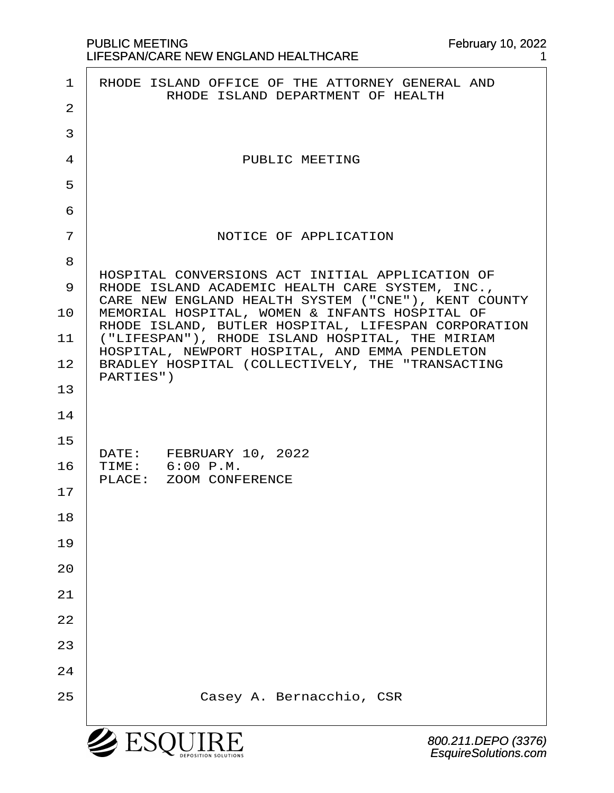|                | <b>SESQUII</b><br>800.211.DEPO (337<br>EsquireSolutions.co                                             |
|----------------|--------------------------------------------------------------------------------------------------------|
| 25             | Casey A. Bernacchio, CSR                                                                               |
| 24             |                                                                                                        |
| 23             |                                                                                                        |
| 22             |                                                                                                        |
| 21             |                                                                                                        |
|                |                                                                                                        |
| 20             |                                                                                                        |
| 19             |                                                                                                        |
| 18             |                                                                                                        |
| 17             | PLACE: ZOOM CONFERENCE                                                                                 |
| 16             | DATE: FEBRUARY 10, 2022<br>TIME: 6:00 P.M.                                                             |
| 15             |                                                                                                        |
| 14             |                                                                                                        |
| 13             | PARTIES")                                                                                              |
| 12             | HOSPITAL, NEWPORT HOSPITAL, AND EMMA PENDLETON<br>BRADLEY HOSPITAL (COLLECTIVELY, THE "TRANSACTING     |
| 11             | RHODE ISLAND, BUTLER HOSPITAL, LIFESPAN CORPORATION<br>("LIFESPAN"), RHODE ISLAND HOSPITAL, THE MIRIAM |
| 10             | CARE NEW ENGLAND HEALTH SYSTEM ("CNE"), KENT COUNTY<br>MEMORIAL HOSPITAL, WOMEN & INFANTS HOSPITAL OF  |
| 9              | HOSPITAL CONVERSIONS ACT INITIAL APPLICATION OF<br>RHODE ISLAND ACADEMIC HEALTH CARE SYSTEM, INC.,     |
| 8              |                                                                                                        |
| 7              | NOTICE OF APPLICATION                                                                                  |
| 6              |                                                                                                        |
| 5              |                                                                                                        |
| 4              | PUBLIC MEETING                                                                                         |
| 3              |                                                                                                        |
| $\overline{a}$ | RHODE ISLAND DEPARTMENT OF HEALTH                                                                      |
| 1              | RHODE ISLAND OFFICE OF THE ATTORNEY GENERAL AND                                                        |

February 10, 2022 1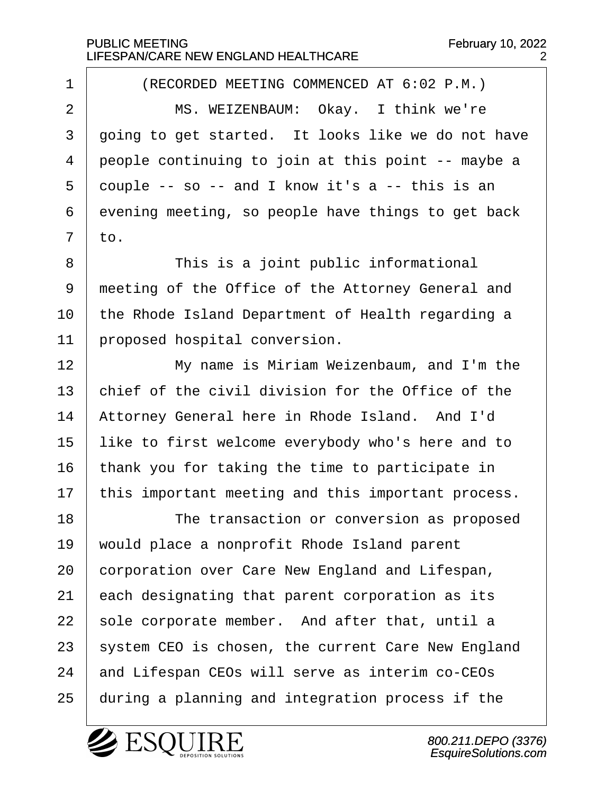1 | (RECORDED MEETING COMMENCED AT 6:02 P.M.) 2 | MS. WEIZENBAUM: Okay. I think we're 3 | going to get started. It looks like we do not have  $4$  people continuing to join at this point  $-$ - maybe a  $5$  couple -- so -- and I know it's a -- this is an  $6$  evening meeting, so people have things to get back  $7$  to.

8 | This is a joint public informational 9 meeting of the Office of the Attorney General and 10 the Rhode Island Department of Health regarding a 11 | proposed hospital conversion.

12· · · · · · My name is Miriam Weizenbaum, and I'm the 13  $\vert$  chief of the civil division for the Office of the 14 | Attorney General here in Rhode Island. And I'd 15 | like to first welcome everybody who's here and to  $16$  | thank you for taking the time to participate in  $17$  this important meeting and this important process.

18 The transaction or conversion as proposed 19 | would place a nonprofit Rhode Island parent 20 corporation over Care New England and Lifespan,  $21$  each designating that parent corporation as its 22 | sole corporate member. And after that, until a 23 | system CEO is chosen, the current Care New England 24 and Lifespan CEOs will serve as interim co-CEOs 25 | during a planning and integration process if the

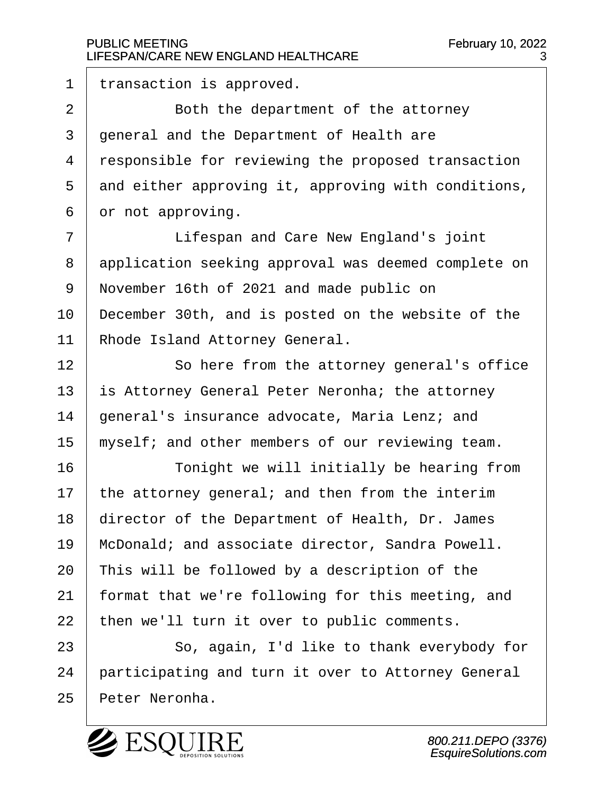$1$  | transaction is approved.

2 **Both the department of the attorney** 3 | general and the Department of Health are 4 responsible for reviewing the proposed transaction  $5$  and either approving it, approving with conditions,  $6 \mid$  or not approving.

7 | Lifespan and Care New England's joint 8 application seeking approval was deemed complete on 9 | November 16th of 2021 and made public on  $10$  | December 30th, and is posted on the website of the 11 | Rhode Island Attorney General.

12 | So here from the attorney general's office 13  $\vert$  is Attorney General Peter Neronha; the attorney 14 | general's insurance advocate, Maria Lenz; and  $15$  myself; and other members of our reviewing team.

16 | Tonight we will initially be hearing from  $17$  the attorney general; and then from the interim 18 | director of the Department of Health, Dr. James 19 | McDonald; and associate director, Sandra Powell.  $20$  | This will be followed by a description of the 21 | format that we're following for this meeting, and  $22$  | then we'll turn it over to public comments.

23 | So, again, I'd like to thank everybody for 24 | participating and turn it over to Attorney General 25 | Peter Neronha.

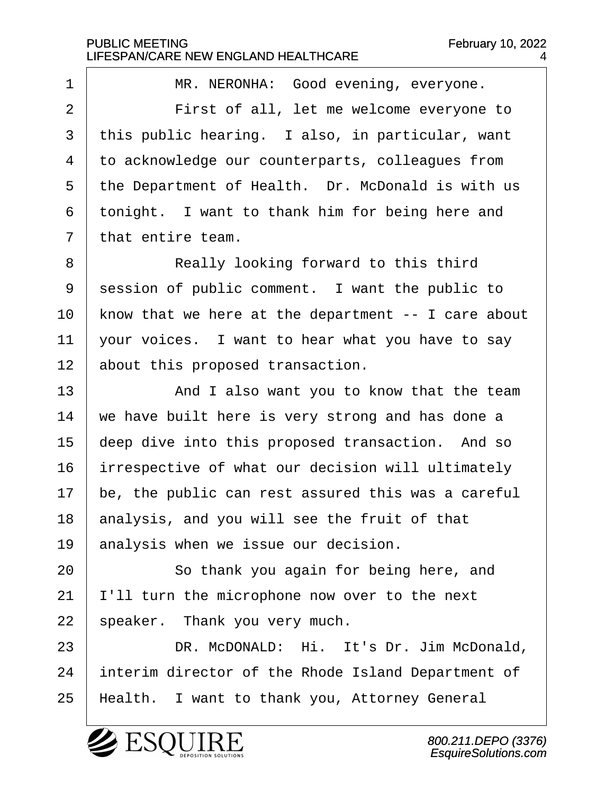1 | MR. NERONHA: Good evening, everyone. 2 | First of all, let me welcome everyone to  $3$  this public hearing. I also, in particular, want 4 | to acknowledge our counterparts, colleagues from 5 | the Department of Health. Dr. McDonald is with us  $6$  tonight. I want to thank him for being here and  $7$  that entire team. 8 | Really looking forward to this third

9 | session of public comment. I want the public to | know that we here at the department  $-$  I care about  $\vert$  your voices. I want to hear what you have to say about this proposed transaction.

13 and I also want you to know that the team  $14$   $\vert$  we have built here is very strong and has done a 15 eeep dive into this proposed transaction. And so 16 | irrespective of what our decision will ultimately  $17$   $\vert$  be, the public can rest assured this was a careful  $18$  analysis, and you will see the fruit of that 19 analysis when we issue our decision.

20 **8** · So thank you again for being here, and  $21$  | I'll turn the microphone now over to the next  $22$  speaker. Thank you very much.

23 DR. McDONALD: Hi. It's Dr. Jim McDonald, 24 | interim director of the Rhode Island Department of 25 | Health. I want to thank you, Attorney General

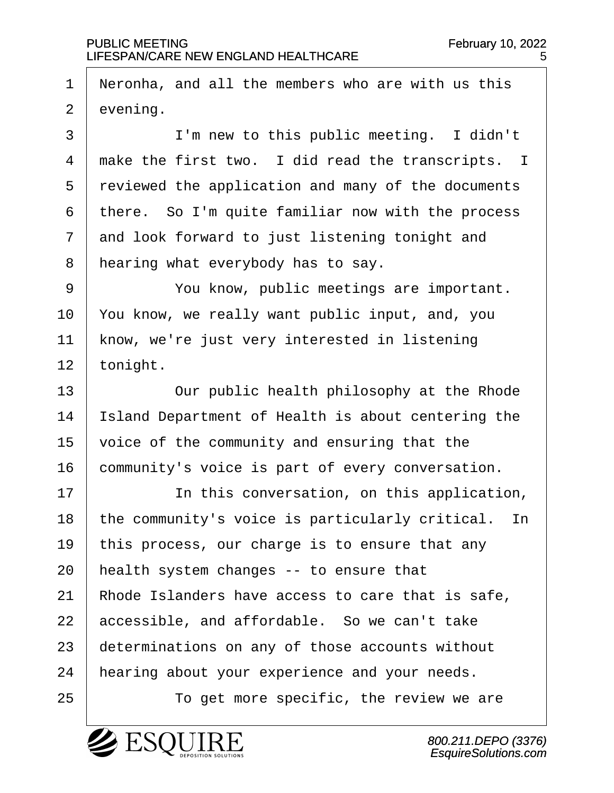1  $\vert$  Neronha, and all the members who are with us this  $2$  evening.

3 | I'm new to this public meeting. I didn't  $\mid$  make the first two. I did read the transcripts. I 5 reviewed the application and many of the documents there. So I'm quite familiar now with the process and look forward to just listening tonight and | hearing what everybody has to say.

9 | You know, public meetings are important.  $10$  | You know, we really want public input, and, you 11 | know, we're just very interested in listening  $12$  | tonight.

13 V · Our public health philosophy at the Rhode 14 | Island Department of Health is about centering the  $15$   $\vert$  voice of the community and ensuring that the 16 community's voice is part of every conversation.

17 | The this conversation, on this application,  $18$  | the community's voice is particularly critical. In 19 | this process, our charge is to ensure that any 20  $\parallel$  health system changes -- to ensure that 21 | Rhode Islanders have access to care that is safe,  $22$  accessible, and affordable. So we can't take 23 determinations on any of those accounts without 24 | hearing about your experience and your needs.

25 | To get more specific, the review we are

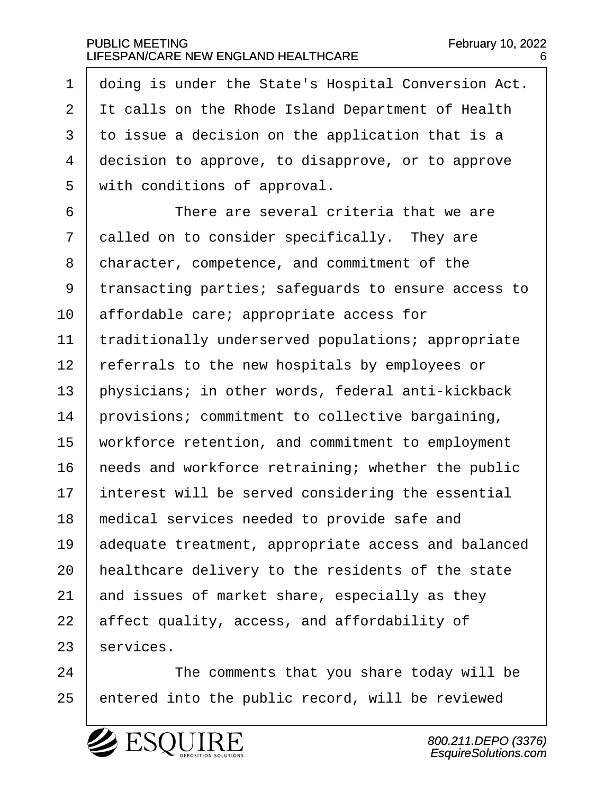1 doing is under the State's Hospital Conversion Act. 2 I It calls on the Rhode Island Department of Health 3 | to issue a decision on the application that is a 4 decision to approve, to disapprove, or to approve 5 | with conditions of approval. 6 **b c** <sup>o</sup> There are several criteria that we are  $7$   $\vert$  called on to consider specifically. They are 8 | character, competence, and commitment of the 9 | transacting parties; safeguards to ensure access to  $10$  | affordable care; appropriate access for 11 | traditionally underserved populations; appropriate 12 | referrals to the new hospitals by employees or 13  $\vert$  physicians; in other words, federal anti-kickback  $14$  provisions; commitment to collective bargaining, 15 | workforce retention, and commitment to employment  $16$  | needs and workforce retraining; whether the public  $17$   $\parallel$  interest will be served considering the essential  $18$   $\mid$  medical services needed to provide safe and 19 adequate treatment, appropriate access and balanced  $20$  | healthcare delivery to the residents of the state 21  $\parallel$  and issues of market share, especially as they  $22$  affect quality, access, and affordability of

24 | The comments that you share today will be 25 | entered into the public record, will be reviewed



 $23$  services.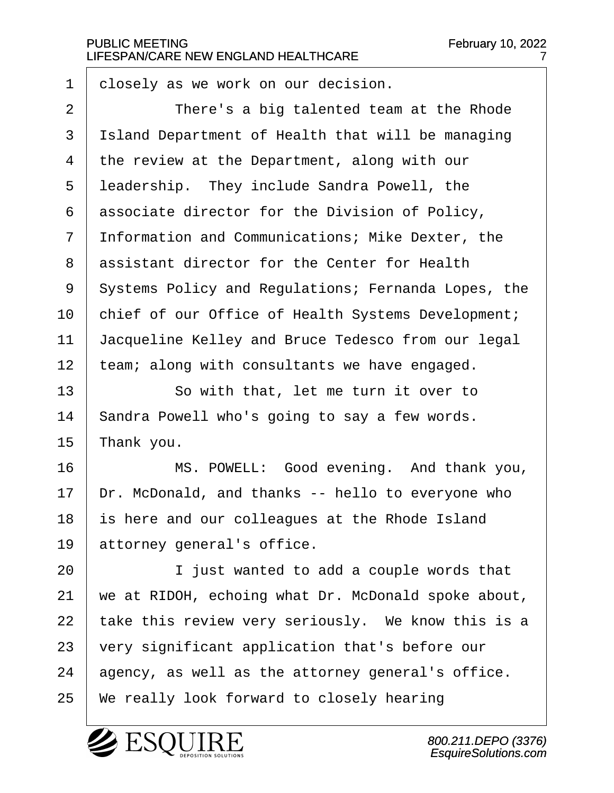$1 \vert$  closely as we work on our decision.

2 | There's a big talented team at the Rhode 3 | Island Department of Health that will be managing  $4$  the review at the Department, along with our 5 | leadership. They include Sandra Powell, the  $6$  associate director for the Division of Policy,  $7$  Information and Communications; Mike Dexter, the 8 assistant director for the Center for Health 9 | Systems Policy and Regulations; Fernanda Lopes, the 10 | chief of our Office of Health Systems Development; 11 | Jacqueline Kelley and Bruce Tedesco from our legal  $12$  | team; along with consultants we have engaged.

13 So with that, let me turn it over to 14 | Sandra Powell who's going to say a few words.  $15$  Thank you.

16 | MS. POWELL: Good evening. And thank you,  $17$  | Dr. McDonald, and thanks  $-$  hello to everyone who 18 is here and our colleagues at the Rhode Island  $19$  attorney general's office.

**I** just wanted to add a couple words that  $\vert$  we at RIDOH, echoing what Dr. McDonald spoke about,  $\vert$  take this review very seriously. We know this is a 23 very significant application that's before our agency, as well as the attorney general's office. 25 | We really look forward to closely hearing

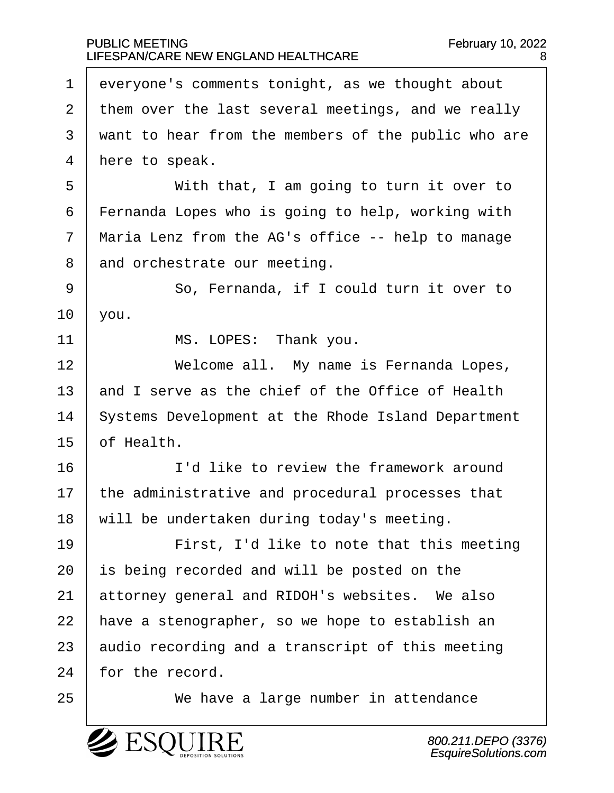$1$  everyone's comments tonight, as we thought about  $2$  them over the last several meetings, and we really 3 | want to hear from the members of the public who are  $4$  | here to speak. 5 | With that, I am going to turn it over to  $6$  | Fernanda Lopes who is going to help, working with  $7$   $\mid$  Maria Lenz from the AG's office -- help to manage 8 and orchestrate our meeting. 9 | So, Fernanda, if I could turn it over to  $10$  | you. 11 | MS. LOPES: Thank you. 12 | **Welcome all.** My name is Fernanda Lopes, 13  $\vert$  and I serve as the chief of the Office of Health 14 Systems Development at the Rhode Island Department  $15·$  of Health. 16· · · · · · I'd like to review the framework around  $17$  | the administrative and procedural processes that  $18$  will be undertaken during today's meeting. 19 | · · · · · First, I'd like to note that this meeting  $20$  is being recorded and will be posted on the  $21$  attorney general and RIDOH's websites. We also  $22$  | have a stenographer, so we hope to establish an  $23$  audio recording and a transcript of this meeting 24 for the record. 25 | We have a large number in attendance

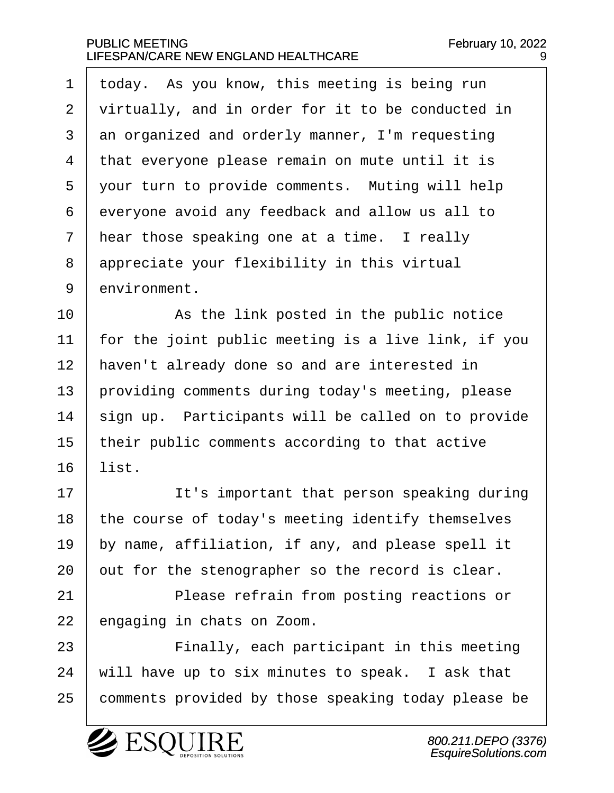$1$  today. As you know, this meeting is being run 2 | virtually, and in order for it to be conducted in  $3 \mid$  an organized and orderly manner, I'm requesting  $4$   $\pm$  that everyone please remain on mute until it is 5 | your turn to provide comments. Muting will help  $6$  everyone avoid any feedback and allow us all to  $7$  hear those speaking one at a time. I really  $8$  appreciate your flexibility in this virtual 9 environment.

10 | The Booted in the public notice  $11$  | for the joint public meeting is a live link, if you 12 | haven't already done so and are interested in 13 providing comments during today's meeting, please  $14$  sign up. Participants will be called on to provide  $15$  | their public comments according to that active  $16$  list.

17 | It's important that person speaking during | the course of today's meeting identify themselves  $\vert$  by name, affiliation, if any, and please spell it out for the stenographer so the record is clear.

21 | Please refrain from posting reactions or 22 engaging in chats on Zoom.

23 | Finally, each participant in this meeting  $24$  | will have up to six minutes to speak. I ask that 25 | comments provided by those speaking today please be

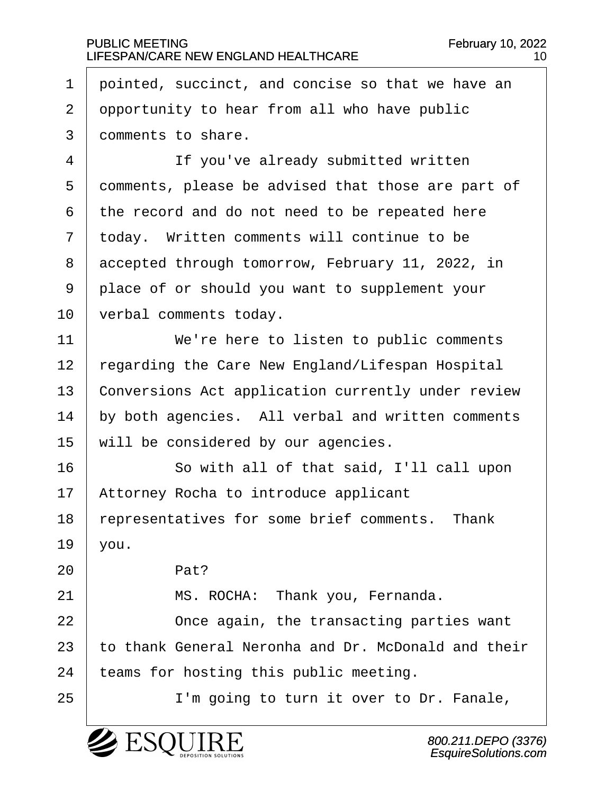1  $\vert$  pointed, succinct, and concise so that we have an  $2$  opportunity to hear from all who have public 3 comments to share.

4 | Tf you've already submitted written 5 comments, please be advised that those are part of  $6$  the record and do not need to be repeated here  $7$   $\vert$  today. Written comments will continue to be 8 accepted through tomorrow, February 11, 2022, in 9 | place of or should you want to supplement your 10 | verbal comments today.

11· · · · · · We're here to listen to public comments 12 | regarding the Care New England/Lifespan Hospital 13 Conversions Act application currently under review  $14$   $\vert$  by both agencies. All verbal and written comments  $15$  will be considered by our agencies.

16 So with all of that said, I'll call upon 17 | Attorney Rocha to introduce applicant 18 representatives for some brief comments. Thank  $19$  you.

21 | MS. ROCHA: Thank you, Fernanda. **I** Once again, the transacting parties want  $\mid$  to thank General Neronha and Dr. McDonald and their | teams for hosting this public meeting.

25 | T'm going to turn it over to Dr. Fanale,



 $20$  Pat?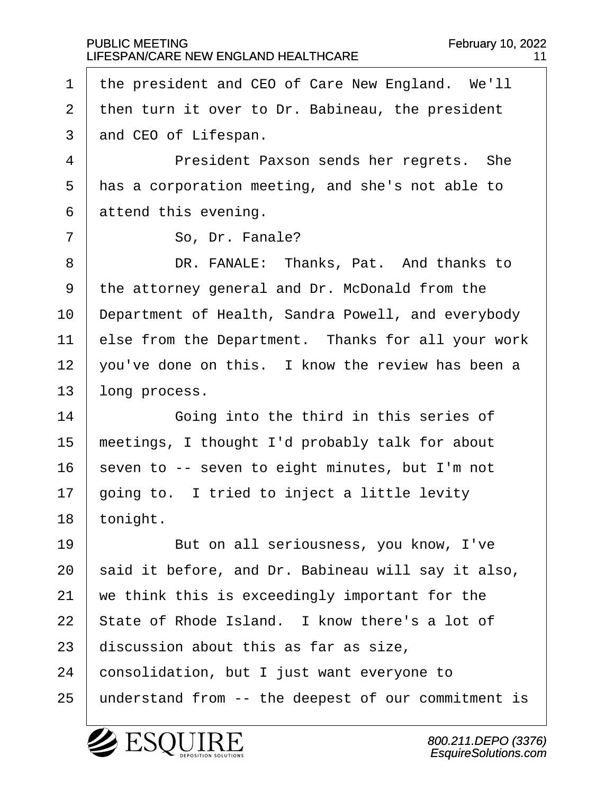1 | the president and CEO of Care New England. We'll  $2$  then turn it over to Dr. Babineau, the president 3 and CEO of Lifespan.

·4· · · · · · President Paxson sends her regrets.· She  $5$   $\vert$  has a corporation meeting, and she's not able to  $6$  attend this evening.

7 | So, Dr. Fanale?

8 DR. FANALE: Thanks, Pat. And thanks to 9 | the attorney general and Dr. McDonald from the 10 | Department of Health, Sandra Powell, and everybody  $11$  else from the Department. Thanks for all your work  $12$  | you've done on this. I know the review has been a  $13$  long process.

14 Going into the third in this series of  $15$  | meetings, I thought I'd probably talk for about  $16$  seven to -- seven to eight minutes, but I'm not  $17$   $\mid$  going to. I tried to inject a little levity 18 tonight.

19 | But on all seriousness, you know, I've  $\vert$  said it before, and Dr. Babineau will say it also,  $\parallel$  we think this is exceedingly important for the  $\vert$  State of Rhode Island. I know there's a lot of discussion about this as far as size, consolidation, but I just want everyone to 25 | understand from -- the deepest of our commitment is

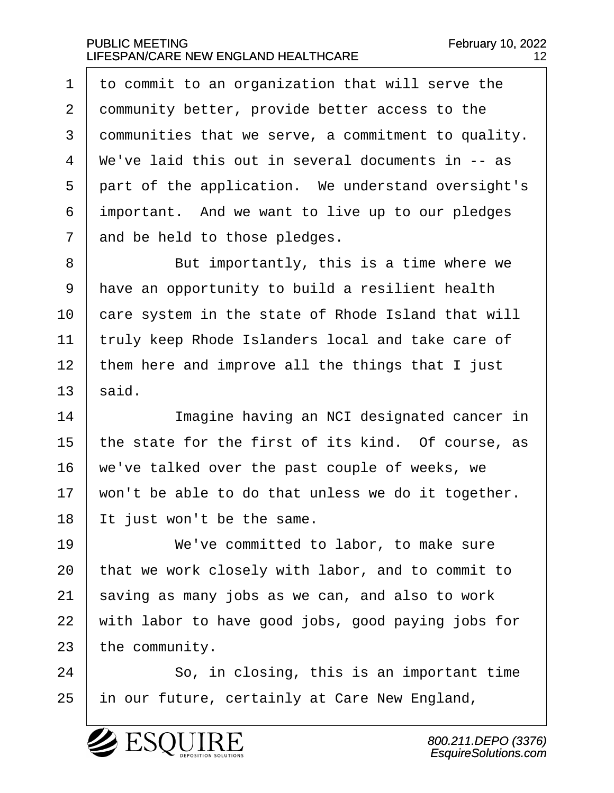$\pm$  to commit to an organization that will serve the 2 community better, provide better access to the communities that we serve, a commitment to quality.  $\mid$  We've laid this out in several documents in -- as 5 part of the application. We understand oversight's important. And we want to live up to our pledges and be held to those pledges.

8 | But importantly, this is a time where we 9 | have an opportunity to build a resilient health 10 care system in the state of Rhode Island that will 11 | truly keep Rhode Islanders local and take care of  $12$  | them here and improve all the things that I just  $13 \mid$  said.

14 Imagine having an NCI designated cancer in  $\vert$  the state for the first of its kind. Of course, as | we've talked over the past couple of weeks, we  $\vert$  won't be able to do that unless we do it together. It just won't be the same.

19 | We've committed to labor, to make sure | that we work closely with labor, and to commit to saving as many jobs as we can, and also to work with labor to have good jobs, good paying jobs for the community.

24 | So, in closing, this is an important time 25 | in our future, certainly at Care New England,

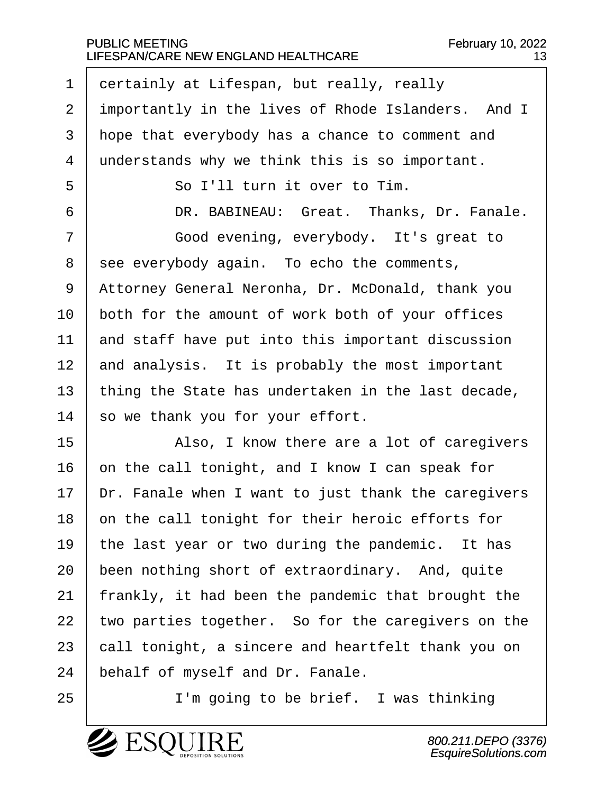1 certainly at Lifespan, but really, really 2 importantly in the lives of Rhode Islanders. And I 3 | hope that everybody has a chance to comment and 4 understands why we think this is so important. ·5· · · · · · So I'll turn it over to Tim. 6 DR. BABINEAU: Great. Thanks, Dr. Fanale. 7 | Good evening, everybody. It's great to  $8$  see everybody again. To echo the comments, 9 | Attorney General Neronha, Dr. McDonald, thank you  $10$  both for the amount of work both of your offices  $11$  and staff have put into this important discussion  $12$  and analysis. It is probably the most important 13  $\vert$  thing the State has undertaken in the last decade,  $14$  so we thank you for your effort. 15 | Also, I know there are a lot of caregivers  $16$  on the call tonight, and I know I can speak for  $17$   $\vert$  Dr. Fanale when I want to just thank the caregivers  $18$   $\vert$  on the call tonight for their heroic efforts for 19 | the last year or two during the pandemic. It has  $20$  been nothing short of extraordinary. And, quite 21 | frankly, it had been the pandemic that brought the 22  $\vert$  two parties together. So for the caregivers on the

24 behalf of myself and Dr. Fanale.

25 | T'm going to be brief. I was thinking

 $23$   $\vert$  call tonight, a sincere and heartfelt thank you on

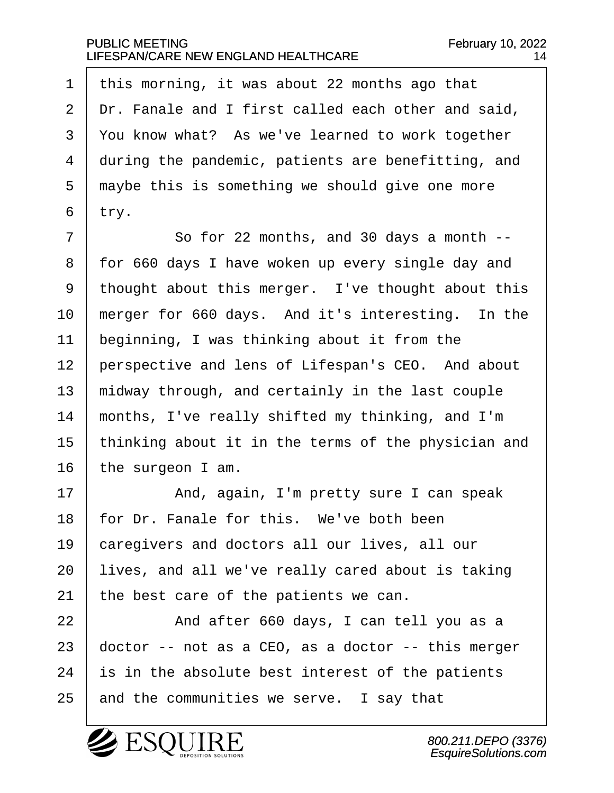1  $\vert$  this morning, it was about 22 months ago that  $2$   $\vert$  Dr. Fanale and I first called each other and said, 3 You know what? As we've learned to work together 4 during the pandemic, patients are benefitting, and  $5$   $\mid$  maybe this is something we should give one more  $6$  try.

·7· · · · · · So for 22 months, and 30 days a month -- 8 | for 660 days I have woken up every single day and 9 | thought about this merger. I've thought about this  $10$  | merger for 660 days. And it's interesting. In the  $11$  beginning, I was thinking about it from the 12 | perspective and lens of Lifespan's CEO. And about  $13$   $\mid$  midway through, and certainly in the last couple  $14$  | months, I've really shifted my thinking, and I'm 15 | thinking about it in the terms of the physician and  $16$  the surgeon I am.

17 | The Board And, again, I'm pretty sure I can speak  $18$  | for Dr. Fanale for this. We've both been 19 caregivers and doctors all our lives, all our  $20$  | lives, and all we've really cared about is taking 21 the best care of the patients we can.

22 And after 660 days, I can tell you as a  $\vert$  doctor -- not as a CEO, as a doctor -- this merger is in the absolute best interest of the patients and the communities we serve. I say that

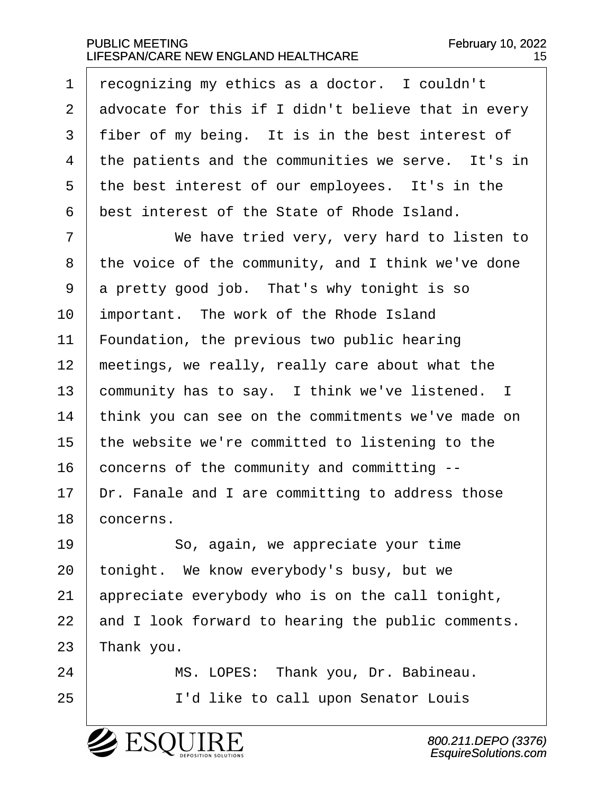1 | recognizing my ethics as a doctor. I couldn't  $\vert$  advocate for this if I didn't believe that in every 3 | fiber of my being. It is in the best interest of  $\pm$  the patients and the communities we serve. It's in the best interest of our employees. It's in the best interest of the State of Rhode Island.

7 | We have tried very, very hard to listen to the voice of the community, and I think we've done  $9 \mid a$  pretty good job. That's why tonight is so important. The work of the Rhode Island  $\mid$  Foundation, the previous two public hearing | meetings, we really, really care about what the community has to say. I think we've listened. I 14 | think you can see on the commitments we've made on | the website we're committed to listening to the concerns of the community and committing  $\vert$  Dr. Fanale and I are committing to address those 18 concerns.

19 | So, again, we appreciate your time 20 | tonight. We know everybody's busy, but we 21 appreciate everybody who is on the call tonight,  $22$  and I look forward to hearing the public comments.  $23$  Thank you.

24 | MS. LOPES: Thank you, Dr. Babineau. 25 | T'd like to call upon Senator Louis

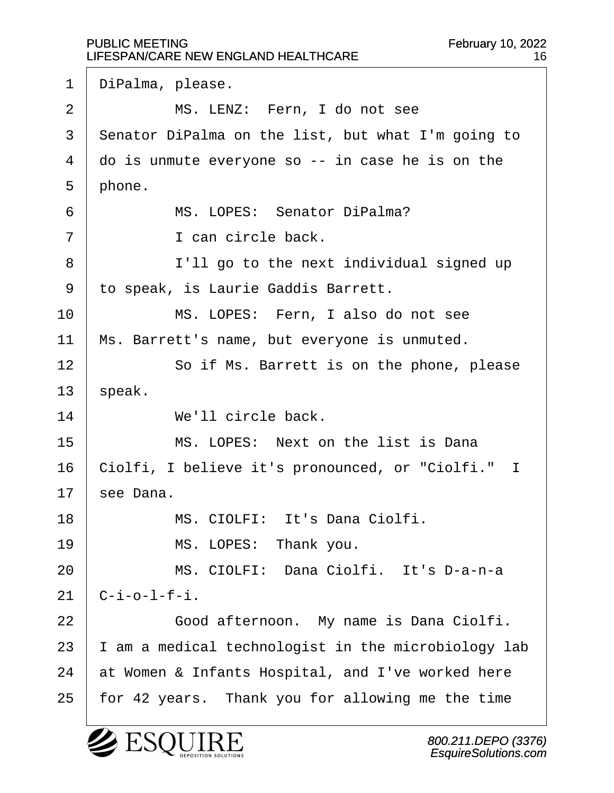1 | DiPalma, please. 2 | MS. LENZ: Fern, I do not see 3 | Senator DiPalma on the list, but what I'm going to  $4$   $\vert$  do is unmute everyone so -- in case he is on the  $5$  | phone. ·6· · · · · · MS. LOPES:· Senator DiPalma?  $7$   $\begin{array}{ccc} 7 & \end{array}$   $\begin{array}{ccc} 1 & \text{can circle back.} \end{array}$ 8 | I'll go to the next individual signed up 9 | to speak, is Laurie Gaddis Barrett. 10 | MS. LOPES: Fern, I also do not see 11 | Ms. Barrett's name, but everyone is unmuted. 12 | So if Ms. Barrett is on the phone, please  $13$  speak. 14 **We'll circle back.** 15· · · · · · MS. LOPES:· Next on the list is Dana 16 | Ciolfi, I believe it's pronounced, or "Ciolfi." I  $17$  see Dana. 18 | MS. CIOLFI: It's Dana Ciolfi. 19 | MS. LOPES: Thank you. 20 MS. CIOLFI: Dana Ciolfi. It's D-a-n-a  $21 \mid C-i-o-1-f-i.$ 22 | Good afternoon. My name is Dana Ciolfi.  $23$  | I am a medical technologist in the microbiology lab  $24$  at Women & Infants Hospital, and I've worked here 25 | for 42 years. Thank you for allowing me the time



800.211.DEPO (3376) EsquireSolutions.com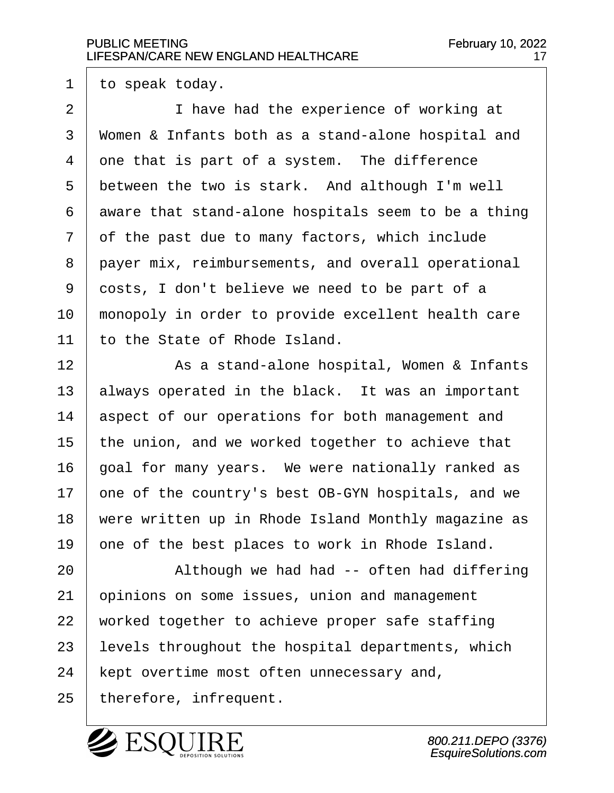$1$  to speak today.

2 | Thave had the experience of working at 3 | Women & Infants both as a stand-alone hospital and  $4$  one that is part of a system. The difference  $5$  between the two is stark. And although I'm well  $6$  aware that stand-alone hospitals seem to be a thing  $7$  of the past due to many factors, which include 8 payer mix, reimbursements, and overall operational 9 costs, I don't believe we need to be part of a 10 | monopoly in order to provide excellent health care  $11$  to the State of Rhode Island.

12 | Registand-alone hospital, Women & Infants always operated in the black. It was an important 14 aspect of our operations for both management and  $\vert$  the union, and we worked together to achieve that | goal for many years. We were nationally ranked as  $\vert$  one of the country's best OB-GYN hospitals, and we 18 | were written up in Rhode Island Monthly magazine as  $\vert$  one of the best places to work in Rhode Island.

20 | Although we had had -- often had differing opinions on some issues, union and management | worked together to achieve proper safe staffing | levels throughout the hospital departments, which | kept overtime most often unnecessary and, | therefore, infrequent.

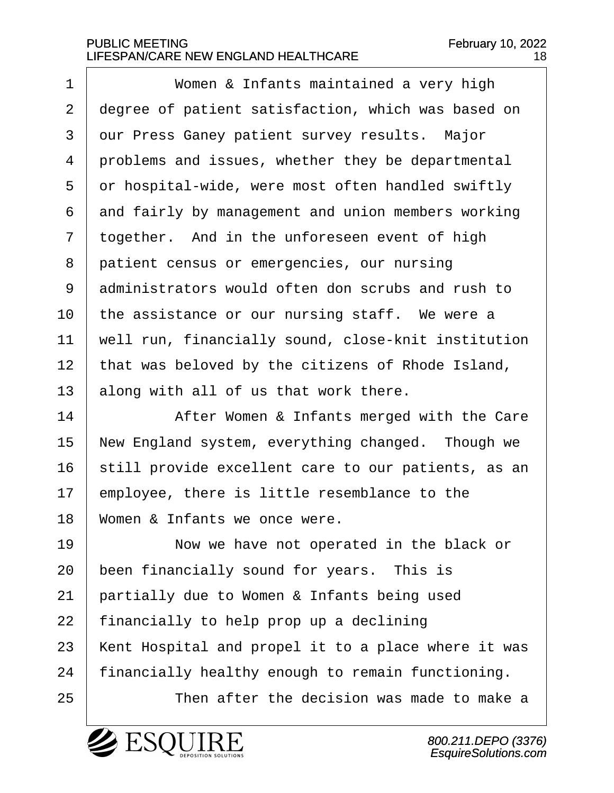·1· · · · · · Women & Infants maintained a very high 2 degree of patient satisfaction, which was based on 3 | our Press Ganey patient survey results. Major  $4$  | problems and issues, whether they be departmental  $5$  or hospital-wide, were most often handled swiftly  $6$  and fairly by management and union members working  $7$  together. And in the unforeseen event of high 8 patient census or emergencies, our nursing 9 administrators would often don scrubs and rush to  $10$  | the assistance or our nursing staff. We were a 11 | well run, financially sound, close-knit institution 12 | that was beloved by the citizens of Rhode Island,  $13$  along with all of us that work there.

14 | After Women & Infants merged with the Care 15 | New England system, everything changed. Though we 16 | still provide excellent care to our patients, as an  $17$   $\mid$  employee, there is little resemblance to the  $18$  | Women & Infants we once were.

**I I** Now we have not operated in the black or been financially sound for years. This is  $\vert$  partially due to Women & Infants being used | financially to help prop up a declining 23 | Kent Hospital and propel it to a place where it was | financially healthy enough to remain functioning.

25· · · · · · Then after the decision was made to make a

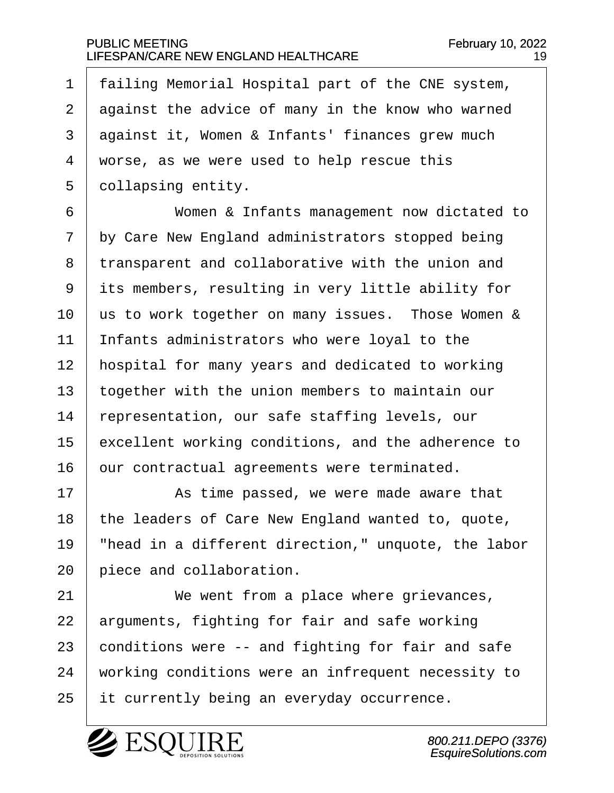1 | failing Memorial Hospital part of the CNE system,  $2$  against the advice of many in the know who warned  $3$  against it, Women & Infants' finances grew much  $4 \mid$  worse, as we were used to help rescue this 5 | collapsing entity.

·6· · · · · · Women & Infants management now dictated to  $7$  by Care New England administrators stopped being 8 transparent and collaborative with the union and 9 its members, resulting in very little ability for  $10$  us to work together on many issues. Those Women &  $11$  | Infants administrators who were loyal to the 12 | hospital for many years and dedicated to working  $13$  together with the union members to maintain our 14 | representation, our safe staffing levels, our 15 excellent working conditions, and the adherence to  $16$   $\vert$  our contractual agreements were terminated.

17 arr · · · · As time passed, we were made aware that 18 | the leaders of Care New England wanted to, quote, 19  $\parallel$  "head in a different direction," unquote, the labor  $20$   $\vert$  piece and collaboration.

21 We went from a place where grievances,  $22$  arguments, fighting for fair and safe working  $23$  conditions were  $-$  and fighting for fair and safe 24 vorking conditions were an infrequent necessity to  $25$  it currently being an everyday occurrence.

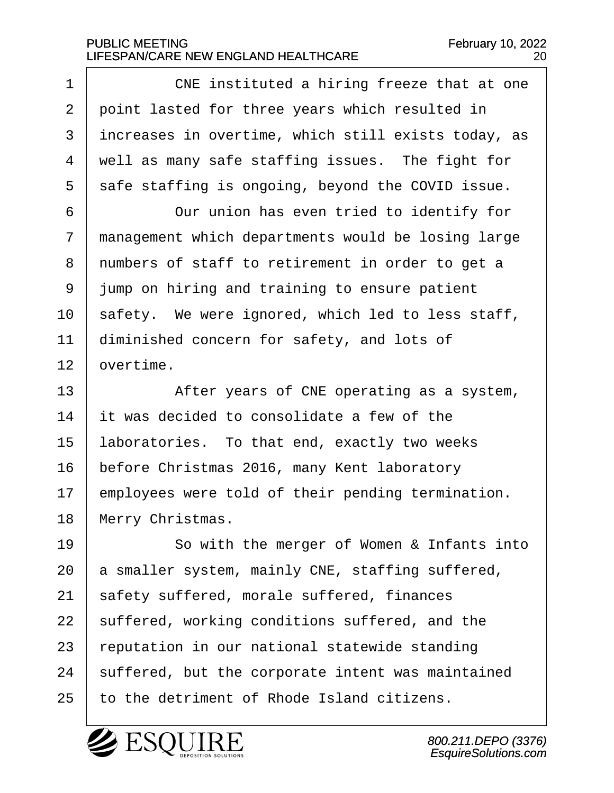1 cNE instituted a hiring freeze that at one 2 | point lasted for three years which resulted in  $3$  increases in overtime, which still exists today, as  $4$   $\mid$  well as many safe staffing issues. The fight for  $5$  safe staffing is ongoing, beyond the COVID issue. 6 **6** Our union has even tried to identify for  $7$   $\mid$  management which departments would be losing large 8 I numbers of staff to retirement in order to get a 9 | jump on hiring and training to ensure patient  $10$  safety. We were ignored, which led to less staff,  $11$  diminished concern for safety, and lots of  $12$  overtime. 13 | After years of CNE operating as a system,  $14$   $\vert$  it was decided to consolidate a few of the  $15$  laboratories. To that end, exactly two weeks 16 | before Christmas 2016, many Kent laboratory  $17$  employees were told of their pending termination. 18 | Merry Christmas. 19 | So with the merger of Women & Infants into  $20$  a smaller system, mainly CNE, staffing suffered,

 safety suffered, morale suffered, finances 22 | suffered, working conditions suffered, and the reputation in our national statewide standing | suffered, but the corporate intent was maintained to the detriment of Rhode Island citizens.

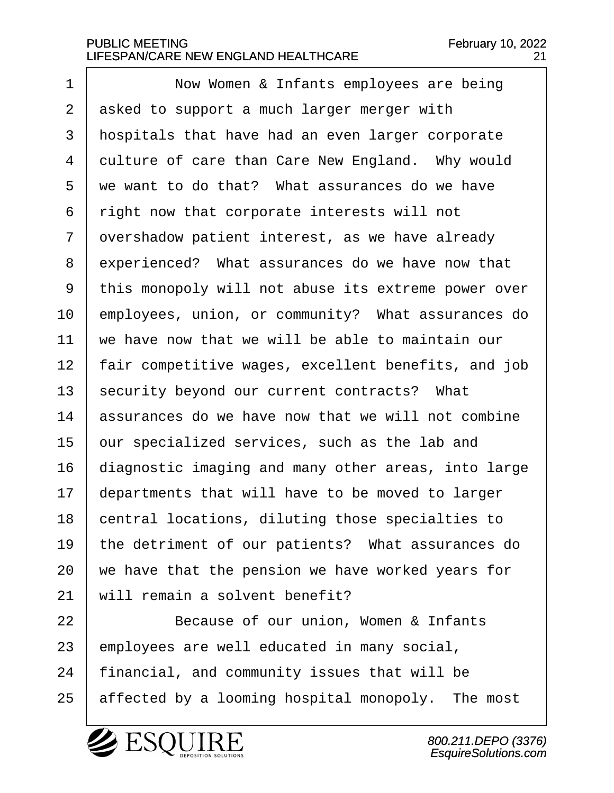1 | Now Women & Infants employees are being  $2$  asked to support a much larger merger with 3 | hospitals that have had an even larger corporate 4 | culture of care than Care New England. Why would  $5·$  we want to do that? What assurances do we have  $6$   $\mid$  right now that corporate interests will not  $7$   $\vert$  overshadow patient interest, as we have already 8 experienced? What assurances do we have now that 9 | this monopoly will not abuse its extreme power over 10 employees, union, or community? What assurances do  $11$   $\vert$  we have now that we will be able to maintain our 12 | fair competitive wages, excellent benefits, and job 13 | security beyond our current contracts? What  $14$  assurances do we have now that we will not combine  $15$  our specialized services, such as the lab and 16 | diagnostic imaging and many other areas, into large  $17$  departments that will have to be moved to larger 18 central locations, diluting those specialties to 19 | the detriment of our patients? What assurances do  $20$  we have that the pension we have worked years for  $21$  will remain a solvent benefit?

22 | Because of our union, Women & Infants  $23$  | employees are well educated in many social,  $24$  | financial, and community issues that will be 25 | affected by a looming hospital monopoly. The most



800.211.DEPO (3376) EsquireSolutions.com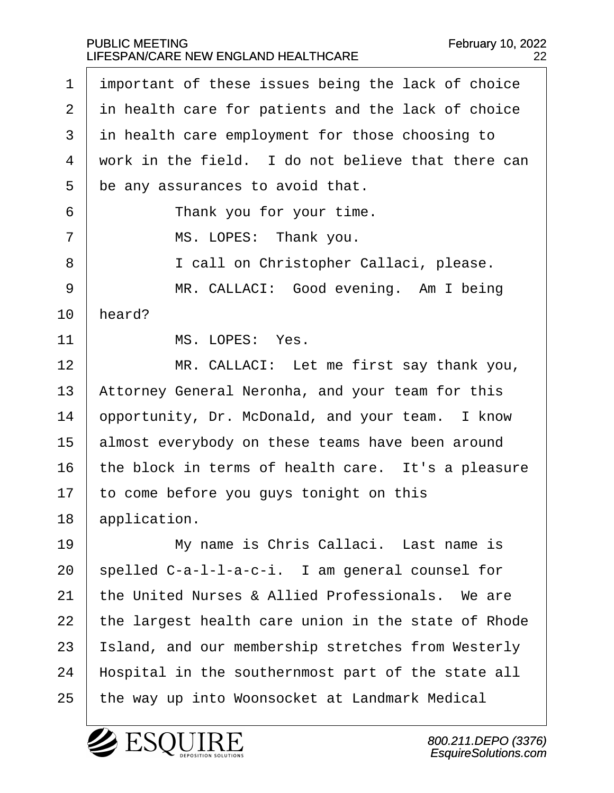| $\mathbf 1$ | important of these issues being the lack of choice  |
|-------------|-----------------------------------------------------|
| 2           | in health care for patients and the lack of choice  |
| 3           | in health care employment for those choosing to     |
| 4           | work in the field. I do not believe that there can  |
| 5           | be any assurances to avoid that.                    |
| 6           | Thank you for your time.                            |
| 7           | MS. LOPES: Thank you.                               |
| 8           | I call on Christopher Callaci, please.              |
| 9           | MR. CALLACI: Good evening. Am I being               |
| 10          | heard?                                              |
| 11          | MS. LOPES: Yes.                                     |
| 12          | MR. CALLACI: Let me first say thank you,            |
| 13          | Attorney General Neronha, and your team for this    |
| 14          | opportunity, Dr. McDonald, and your team. I know    |
| 15          | almost everybody on these teams have been around    |
| 16          | the block in terms of health care. It's a pleasure  |
| 17          | to come before you guys tonight on this             |
| 18          | application.                                        |
| 19          | My name is Chris Callaci. Last name is              |
| 20          | spelled C-a-l-l-a-c-i. I am general counsel for     |
| 21          | the United Nurses & Allied Professionals. We are    |
| 22          | the largest health care union in the state of Rhode |
| 23          | Island, and our membership stretches from Westerly  |
| 24          | Hospital in the southernmost part of the state all  |
| 25          | the way up into Woonsocket at Landmark Medical      |

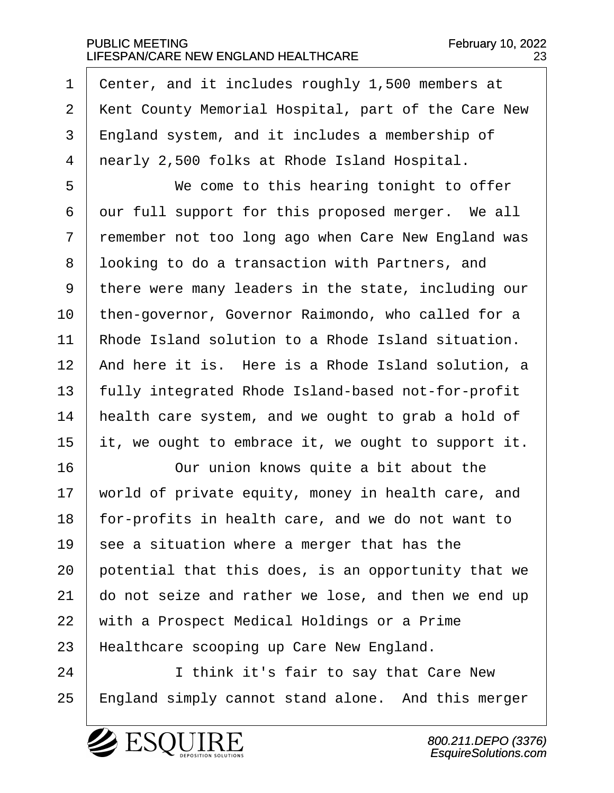$1$  center, and it includes roughly 1,500 members at 2 | Kent County Memorial Hospital, part of the Care New 3 | England system, and it includes a membership of 4 | nearly 2,500 folks at Rhode Island Hospital.

5 | We come to this hearing tonight to offer  $6$  our full support for this proposed merger. We all 7 remember not too long ago when Care New England was 8 I looking to do a transaction with Partners, and 9 | there were many leaders in the state, including our 10 | then-governor, Governor Raimondo, who called for a 11 Rhode Island solution to a Rhode Island situation. 12 | And here it is. Here is a Rhode Island solution, a 13 | fully integrated Rhode Island-based not-for-profit 14  $\parallel$  health care system, and we ought to grab a hold of 15  $\vert$  it, we ought to embrace it, we ought to support it.

16 | Our union knows quite a bit about the  $\vert$  world of private equity, money in health care, and | for-profits in health care, and we do not want to  $\vert$  see a situation where a merger that has the  $\vert$  potential that this does, is an opportunity that we  $\vert$  do not seize and rather we lose, and then we end up  $\mid$  with a Prospect Medical Holdings or a Prime 23 | Healthcare scooping up Care New England.

24 | I think it's fair to say that Care New 25 | England simply cannot stand alone. And this merger

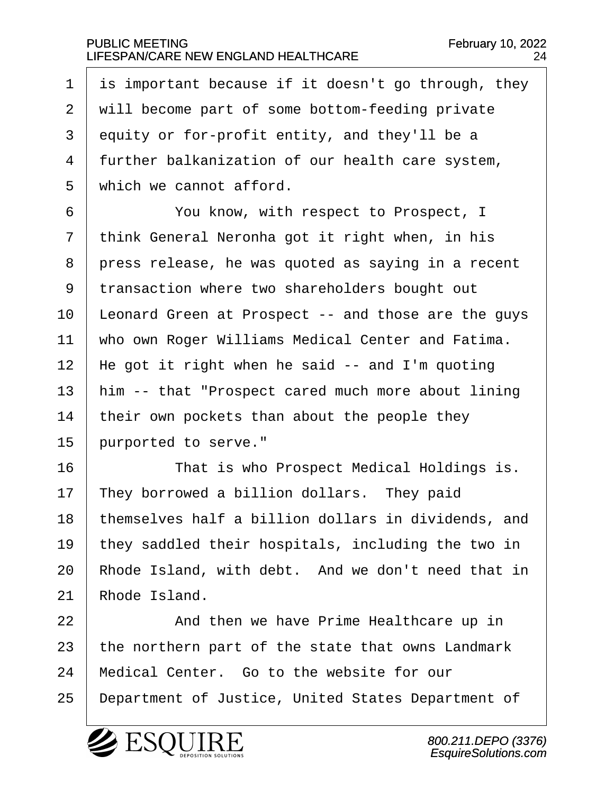is important because if it doesn't go through, they 2 | will become part of some bottom-feeding private equity or for-profit entity, and they'll be a | further balkanization of our health care system,  $\vert$  which we cannot afford.

·6· · · · · · You know, with respect to Prospect, I  $7$  think General Neronha got it right when, in his  $8$  | press release, he was quoted as saying in a recent 9 transaction where two shareholders bought out  $10$  | Leonard Green at Prospect -- and those are the guys 11 | who own Roger Williams Medical Center and Fatima. 12 | He got it right when he said  $-$  and I'm quoting  $13$  | him -- that "Prospect cared much more about lining  $14$  | their own pockets than about the people they 15 purported to serve."

16 That is who Prospect Medical Holdings is.  $\parallel$  They borrowed a billion dollars. They paid  $\vert$  themselves half a billion dollars in dividends, and 19 | they saddled their hospitals, including the two in  $\vert$  Rhode Island, with debt. And we don't need that in Rhode Island.

22· · · · · · And then we have Prime Healthcare up in 23 | the northern part of the state that owns Landmark  $24$  | Medical Center. Go to the website for our 25 | Department of Justice, United States Department of

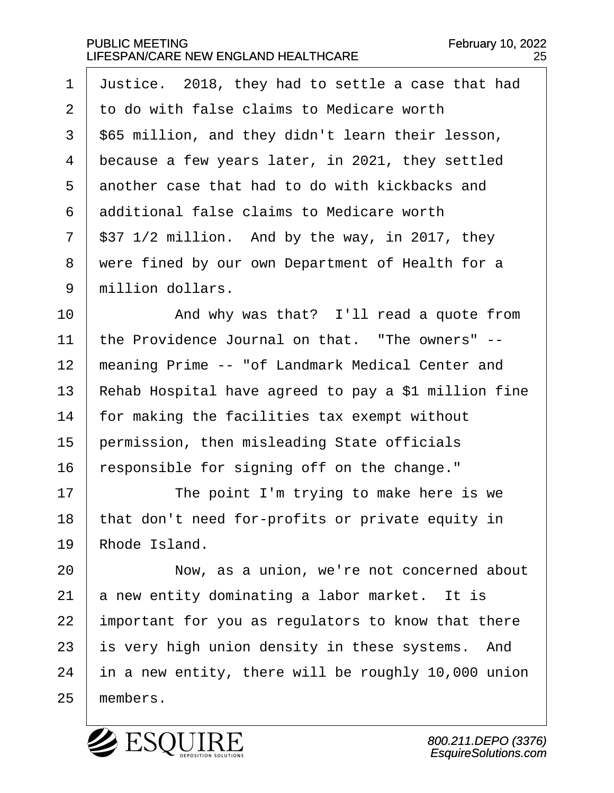$\vert$  Justice. 2018, they had to settle a case that had  $2<sup>1</sup>$  to do with false claims to Medicare worth | \$65 million, and they didn't learn their lesson, because a few years later, in 2021, they settled another case that had to do with kickbacks and  $\vert$  additional false claims to Medicare worth | \$37 1/2 million. And by the way, in 2017, they 8 | were fined by our own Department of Health for a 9 million dollars.

10 | And why was that? I'll read a quote from  $11$   $\vert$  the Providence Journal on that. "The owners" --12 | meaning Prime -- "of Landmark Medical Center and 13 Rehab Hospital have agreed to pay a \$1 million fine  $14$  | for making the facilities tax exempt without  $15$  permission, then misleading State officials  $16$  | responsible for signing off on the change."

17 The point I'm trying to make here is we  $18$  | that don't need for-profits or private equity in  $19 \parallel$  Rhode Island.

**I I** Now, as a union, we're not concerned about a new entity dominating a labor market. It is important for you as regulators to know that there is very high union density in these systems. And | in a new entity, there will be roughly 10,000 union 25 members.

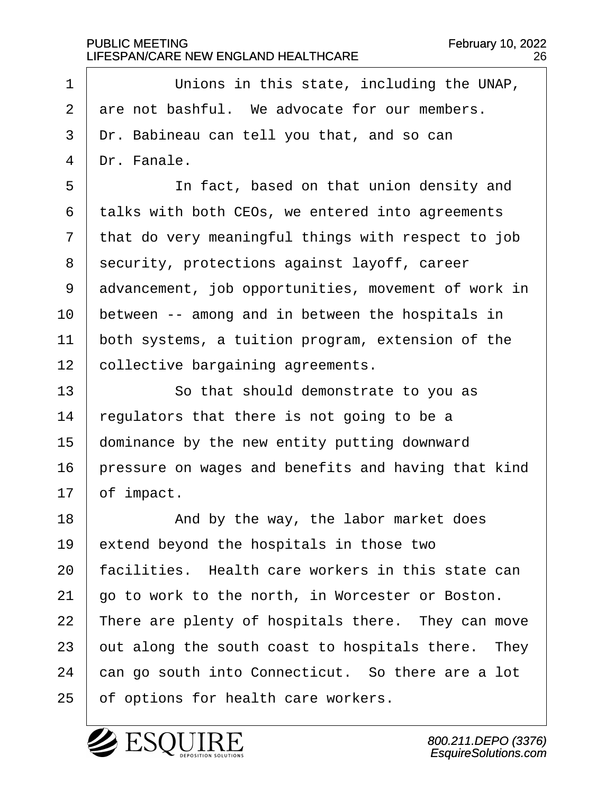1 Unions in this state, including the UNAP,  $2 \mid$  are not bashful. We advocate for our members.  $3$   $\vert$  Dr. Babineau can tell you that, and so can  $4$  | Dr. Fanale.

5 | The fact, based on that union density and  $6$  talks with both CEOs, we entered into agreements  $7$  that do very meaningful things with respect to job 8 | security, protections against layoff, career 9 advancement, job opportunities, movement of work in  $10$  | between  $-$  among and in between the hospitals in  $11$   $\vert$  both systems, a tuition program, extension of the 12 collective bargaining agreements.

13 | So that should demonstrate to you as regulators that there is not going to be a dominance by the new entity putting downward | pressure on wages and benefits and having that kind of impact.

18 and by the way, the labor market does extend beyond the hospitals in those two  $\vert$  facilities. Health care workers in this state can  $\vert$  go to work to the north, in Worcester or Boston. | There are plenty of hospitals there. They can move out along the south coast to hospitals there. They  $\vert$  can go south into Connecticut. So there are a lot 25 | of options for health care workers.

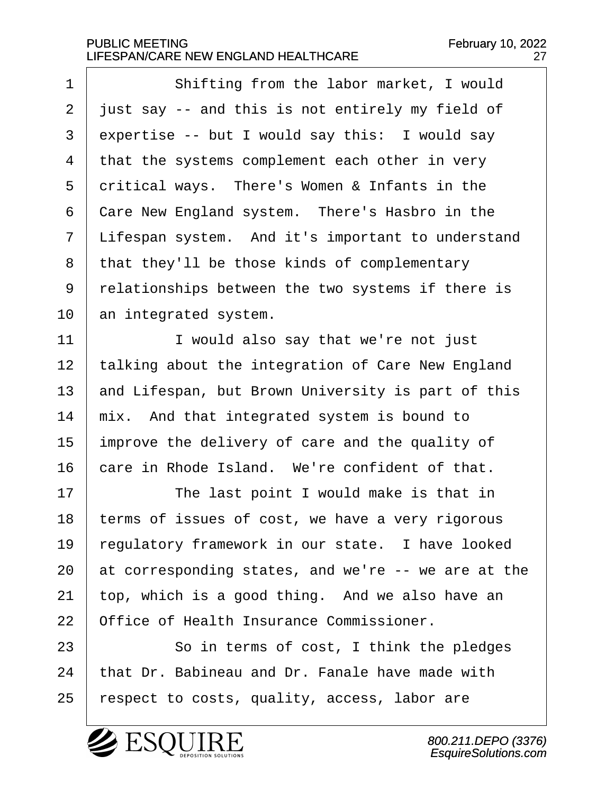1 | Shifting from the labor market, I would  $\frac{1}{2}$  just say -- and this is not entirely my field of expertise -- but I would say this: I would say that the systems complement each other in very critical ways. There's Women & Infants in the  $\vert$  Care New England system. There's Hasbro in the | Lifespan system. And it's important to understand | that they'll be those kinds of complementary 9 | relationships between the two systems if there is an integrated system.

11 | I would also say that we're not just 12 | talking about the integration of Care New England  $\vert$  and Lifespan, but Brown University is part of this  $\mid$  mix. And that integrated system is bound to improve the delivery of care and the quality of  $\vert$  care in Rhode Island. We're confident of that.

17 | The last point I would make is that in | terms of issues of cost, we have a very rigorous  $\vert$  regulatory framework in our state. I have looked  $\vert$  at corresponding states, and we're -- we are at the top, which is a good thing. And we also have an 22 Office of Health Insurance Commissioner.

23 | So in terms of cost, I think the pledges that Dr. Babineau and Dr. Fanale have made with | respect to costs, quality, access, labor are

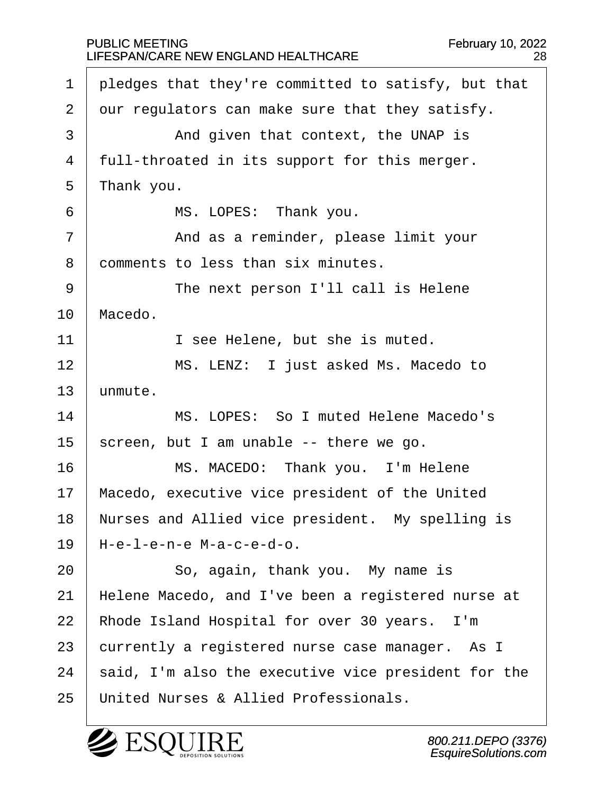1 | pledges that they're committed to satisfy, but that  $2 \mid$  our regulators can make sure that they satisfy. 3 | And given that context, the UNAP is  $4$  | full-throated in its support for this merger.  $5$  | Thank you. 6 | MS. LOPES: Thank you. 7 | The Sand as a reminder, please limit your 8 comments to less than six minutes. 9 | The next person I'll call is Helene 10 | Macedo. 11 | T see Helene, but she is muted. 12 | MS. LENZ: I just asked Ms. Macedo to  $13$  unmute. 14· · · · · · MS. LOPES:· So I muted Helene Macedo's 15 | screen, but I am unable  $-$ - there we go. 16 | MS. MACEDO: Thank you. I'm Helene 17 | Macedo, executive vice president of the United 18 | Nurses and Allied vice president. My spelling is  $19$  | H-e-l-e-n-e M-a-c-e-d-o. 20 So, again, thank you. My name is 21 | Helene Macedo, and I've been a registered nurse at 22 | Rhode Island Hospital for over 30 years. I'm  $23$  currently a registered nurse case manager. As I  $24$  | said, I'm also the executive vice president for the 25 | United Nurses & Allied Professionals.

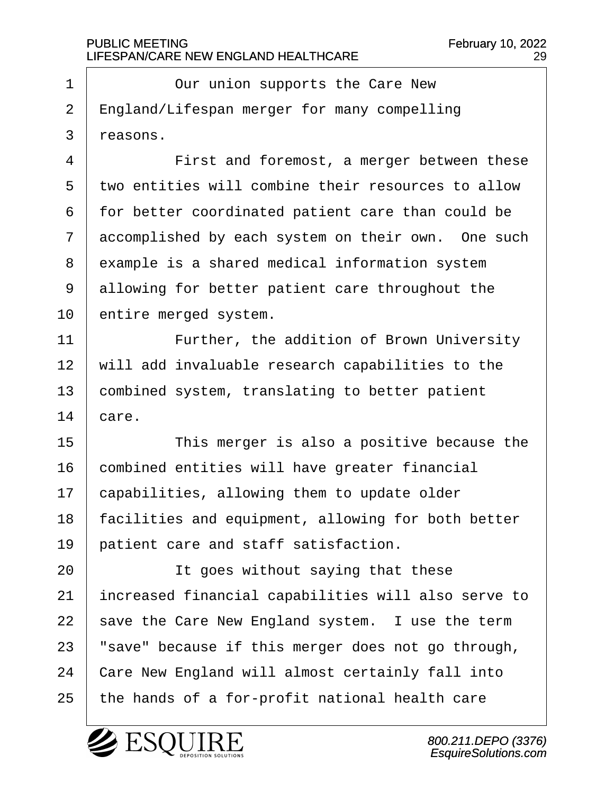1 | Our union supports the Care New  $2$  | England/Lifespan merger for many compelling  $3$  reasons.

4 | First and foremost, a merger between these 5 two entities will combine their resources to allow  $6$  | for better coordinated patient care than could be  $7$  accomplished by each system on their own. One such 8 example is a shared medical information system  $9$  allowing for better patient care throughout the 10 entire merged system.

11 | · · · · Further, the addition of Brown University  $12$   $\mid$  will add invaluable research capabilities to the  $13$  combined system, translating to better patient  $14$  care.

15 | This merger is also a positive because the 16 combined entities will have greater financial  $17$   $\vert$  capabilities, allowing them to update older 18 | facilities and equipment, allowing for both better 19 patient care and staff satisfaction.

**It goes without saying that these** 21 | increased financial capabilities will also serve to save the Care New England system. I use the term | "save" because if this merger does not go through, 24 Care New England will almost certainly fall into | the hands of a for-profit national health care

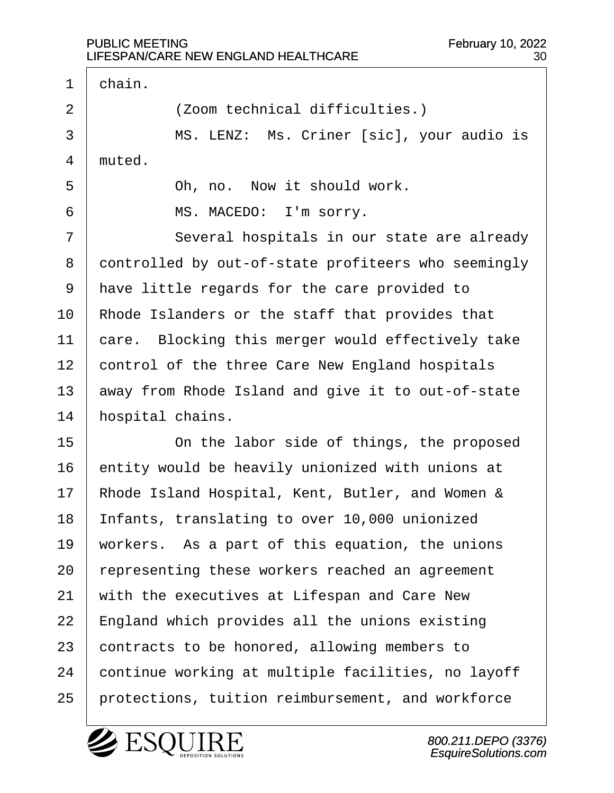$\Gamma$ 

| $\mathbf 1$    | chain.                                              |
|----------------|-----------------------------------------------------|
| $\overline{a}$ | (Zoom technical difficulties.)                      |
| 3              | MS. LENZ: Ms. Criner [sic], your audio is           |
| 4              | muted.                                              |
| 5              | Oh, no. Now it should work.                         |
| 6              | MS. MACEDO: I'm sorry.                              |
| 7              | Several hospitals in our state are already          |
| 8              | controlled by out-of-state profiteers who seemingly |
| 9              | have little regards for the care provided to        |
| 10             | Rhode Islanders or the staff that provides that     |
| 11             | care. Blocking this merger would effectively take   |
| 12             | control of the three Care New England hospitals     |
| 13             | away from Rhode Island and give it to out-of-state  |
| 14             | hospital chains.                                    |
| 15             | On the labor side of things, the proposed           |
| 16             | entity would be heavily unionized with unions at    |
| 17             | Rhode Island Hospital, Kent, Butler, and Women &    |
| 18             | Infants, translating to over 10,000 unionized       |
| 19             | workers. As a part of this equation, the unions     |
| 20             | representing these workers reached an agreement     |
| 21             | with the executives at Lifespan and Care New        |
| 22             | England which provides all the unions existing      |
| 23             | contracts to be honored, allowing members to        |
| 24             | continue working at multiple facilities, no layoff  |
| 25             | protections, tuition reimbursement, and workforce   |

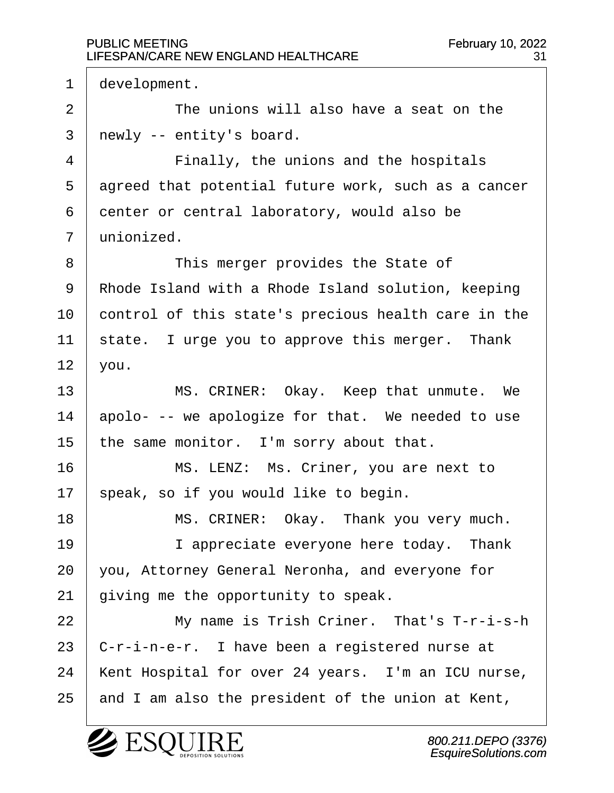$1$  development. 2 a 20 20 <sup>-</sup> The unions will also have a seat on the  $3$  | newly -- entity's board. 4 | Finally, the unions and the hospitals 5 agreed that potential future work, such as a cancer  $6$  center or central laboratory, would also be  $7$  unionized. 8 | This merger provides the State of 9 | Rhode Island with a Rhode Island solution, keeping 10 control of this state's precious health care in the  $11$  | state. I urge you to approve this merger. Thank  $12$  you. 13 | MS. CRINER: Okay. Keep that unmute. We  $14$  apolo- -- we apologize for that. We needed to use 15 | the same monitor. I'm sorry about that. 16 | MS. LENZ: Ms. Criner, you are next to  $17$  speak, so if you would like to begin. 18 | MS. CRINER: Okay. Thank you very much. 19 | I appreciate everyone here today. Thank  $20$  vou, Attorney General Neronha, and everyone for  $21$  aiving me the opportunity to speak. 22 | My name is Trish Criner. That's T-r-i-s-h  $23$  | C-r-i-n-e-r. I have been a registered nurse at 24 | Kent Hospital for over 24 years. I'm an ICU nurse,  $25$  and I am also the president of the union at Kent,

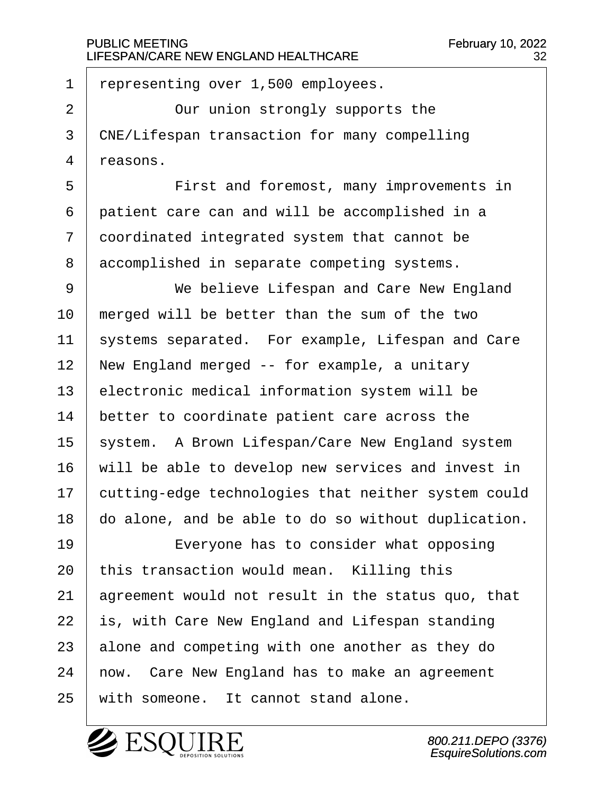$1$  representing over 1,500 employees.

2 | Cur union strongly supports the 3 CNE/Lifespan transaction for many compelling  $4$  reasons.

5 | First and foremost, many improvements in  $\vert$  patient care can and will be accomplished in a  $\vert$  coordinated integrated system that cannot be accomplished in separate competing systems.

9 | We believe Lifespan and Care New England  $10$  | merged will be better than the sum of the two 11 | systems separated. For example, Lifespan and Care  $12$  | New England merged -- for example, a unitary  $13$  electronic medical information system will be  $14$  better to coordinate patient care across the 15 | system. A Brown Lifespan/Care New England system  $16$   $\mid$  will be able to develop new services and invest in  $17$   $\vert$  cutting-edge technologies that neither system could 18 ao alone, and be able to do so without duplication.

19 | Everyone has to consider what opposing this transaction would mean. Killing this agreement would not result in the status quo, that is, with Care New England and Lifespan standing alone and competing with one another as they do  $\mid$  now. Care New England has to make an agreement 25 | with someone. It cannot stand alone.

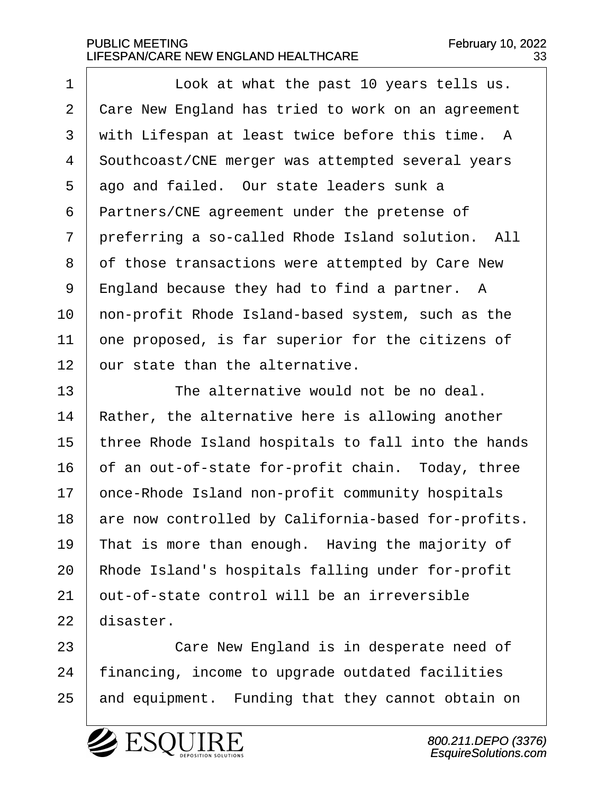1 | Look at what the past 10 years tells us. 2 | Care New England has tried to work on an agreement  $3$  with Lifespan at least twice before this time. A 4 Southcoast/CNE merger was attempted several years  $5$  ago and failed. Our state leaders sunk a  $6$  | Partners/CNE agreement under the pretense of  $7$   $\vert$  preferring a so-called Rhode Island solution. All 8 of those transactions were attempted by Care New  $9$  | England because they had to find a partner. A 10 | non-profit Rhode Island-based system, such as the  $11$   $\vert$  one proposed, is far superior for the citizens of  $12$   $\vert$  our state than the alternative.

 $13$   $\parallel$  The alternative would not be no deal.  $14$  | Rather, the alternative here is allowing another 15 | three Rhode Island hospitals to fall into the hands  $16$  of an out-of-state for-profit chain. Today, three 17 | once-Rhode Island non-profit community hospitals 18 are now controlled by California-based for-profits. 19 That is more than enough. Having the majority of  $20$  | Rhode Island's hospitals falling under for-profit  $21$   $\vert$  out-of-state control will be an irreversible  $22$  disaster.

23 | Care New England is in desperate need of  $24$  | financing, income to upgrade outdated facilities 25 and equipment. Funding that they cannot obtain on

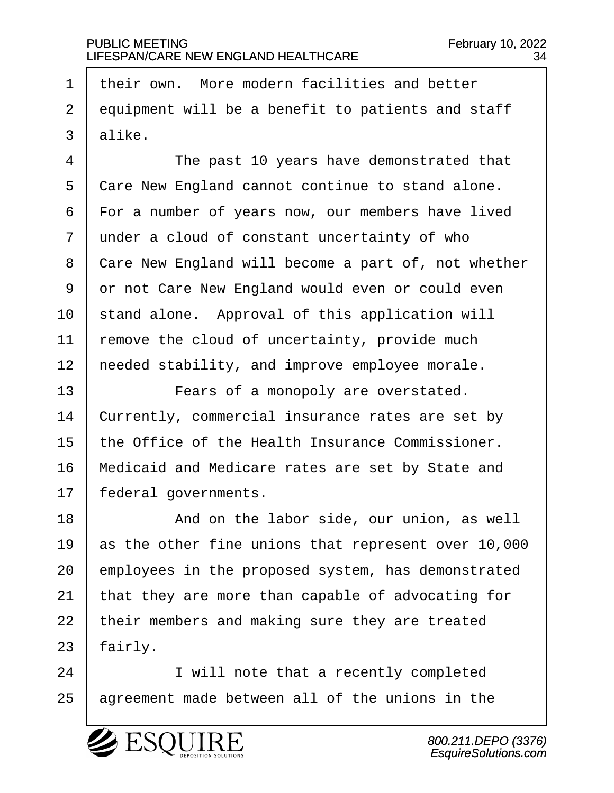$1$  their own. More modern facilities and better  $2$  equipment will be a benefit to patients and staff  $3 \mid$  alike.

4 The past 10 years have demonstrated that 5 | Care New England cannot continue to stand alone.  $6$   $\vert$  For a number of years now, our members have lived  $7$  under a cloud of constant uncertainty of who 8 | Care New England will become a part of, not whether 9 or not Care New England would even or could even  $10$  stand alone. Approval of this application will  $11$  | remove the cloud of uncertainty, provide much 12 | needed stability, and improve employee morale.

13 | **Fears of a monopoly are overstated.**  $14$  currently, commercial insurance rates are set by  $15$  the Office of the Health Insurance Commissioner. 16 | Medicaid and Medicare rates are set by State and 17 | federal governments.

18 a and on the labor side, our union, as well  $\vert$  as the other fine unions that represent over 10,000 employees in the proposed system, has demonstrated  $\vert$  that they are more than capable of advocating for | their members and making sure they are treated | fairly.

24 I will note that a recently completed 25 | agreement made between all of the unions in the

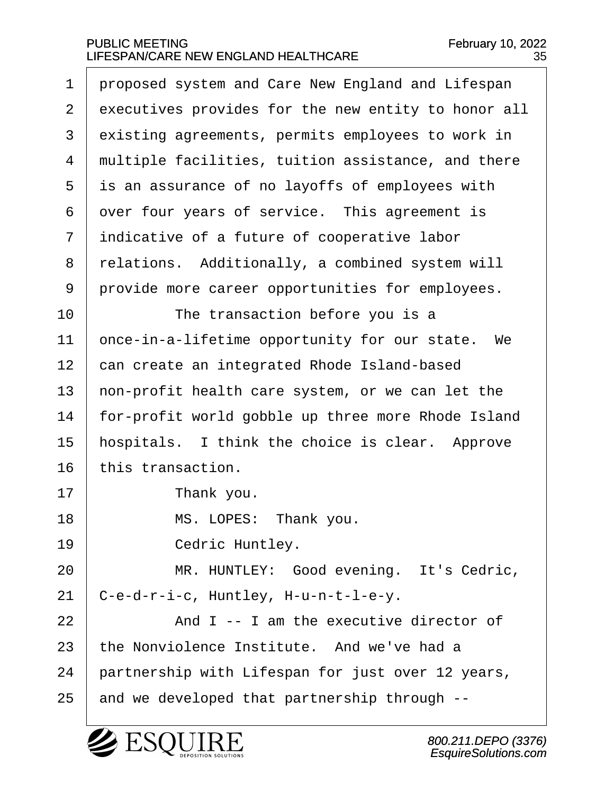1 proposed system and Care New England and Lifespan 2 | executives provides for the new entity to honor all 3 existing agreements, permits employees to work in 4 multiple facilities, tuition assistance, and there  $5$  is an assurance of no layoffs of employees with  $6$  over four years of service. This agreement is  $7$  indicative of a future of cooperative labor 8 relations. Additionally, a combined system will 9 provide more career opportunities for employees. 10 The transaction before you is a 11 | once-in-a-lifetime opportunity for our state. We 12 can create an integrated Rhode Island-based 13  $\vert$  non-profit health care system, or we can let the 14 | for-profit world gobble up three more Rhode Island  $15$   $\mid$  hospitals. I think the choice is clear. Approve  $16$   $\pm$  this transaction. 17 **I** Thank you. 18 | MS. LOPES: Thank you. 19 | Cedric Huntley. 20 | MR. HUNTLEY: Good evening. It's Cedric,  $21$   $C-e-d-r-i-c$ , Huntley, H-u-n-t-l-e-y. 22  $\vert$  and I -- I am the executive director of  $23$  the Nonviolence Institute. And we've had a  $24$  | partnership with Lifespan for just over 12 years,  $25$  and we developed that partnership through  $-$ -

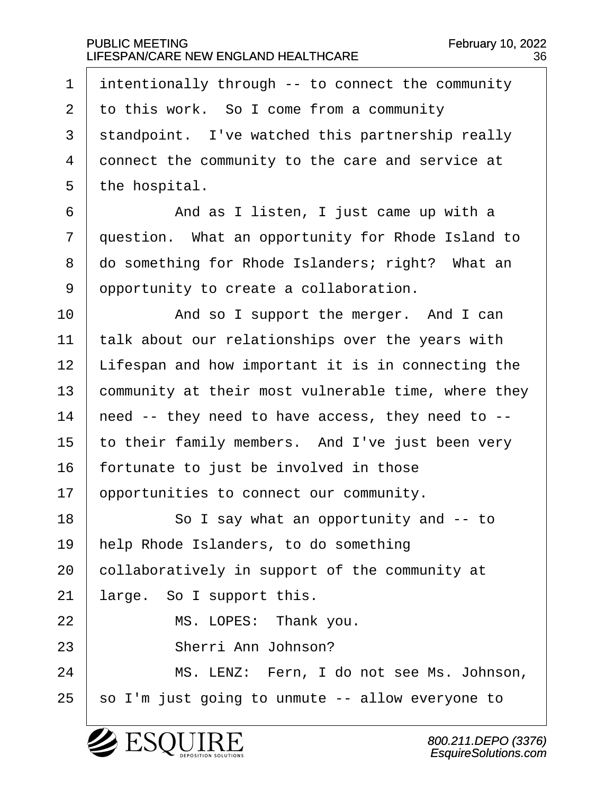| $\mathbf 1$    | intentionally through -- to connect the community   |
|----------------|-----------------------------------------------------|
| $\overline{2}$ | to this work. So I come from a community            |
| $\mathbf{3}$   | standpoint. I've watched this partnership really    |
| 4              | connect the community to the care and service at    |
| 5              |                                                     |
|                | the hospital.                                       |
| 6              | And as I listen, I just came up with a              |
| 7              | question. What an opportunity for Rhode Island to   |
| 8              | do something for Rhode Islanders; right? What an    |
| 9              | opportunity to create a collaboration.              |
| 10             | And so I support the merger. And I can              |
| 11             | talk about our relationships over the years with    |
| 12             | Lifespan and how important it is in connecting the  |
| 13             | community at their most vulnerable time, where they |
| 14             | need -- they need to have access, they need to --   |
| 15             | to their family members. And I've just been very    |
| 16             | fortunate to just be involved in those              |
| 17             | opportunities to connect our community.             |
| 18             | So I say what an opportunity and -- to              |
| 19             | help Rhode Islanders, to do something               |
| 20             | collaboratively in support of the community at      |
| 21             | large. So I support this.                           |
| 22             | MS. LOPES: Thank you.                               |
| 23             | Sherri Ann Johnson?                                 |
| 24             | MS. LENZ: Fern, I do not see Ms. Johnson,           |
| 25             | so I'm just going to unmute -- allow everyone to    |
|                |                                                     |

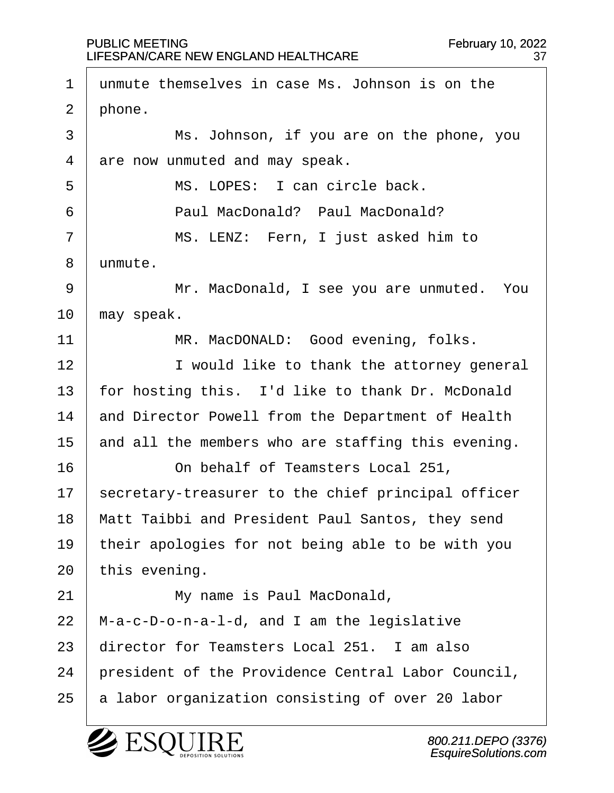$1$  unmute themselves in case Ms. Johnson is on the  $2 \mid$  phone. 3 | Ms. Johnson, if you are on the phone, you  $4$  are now unmuted and may speak. 5 | MS. LOPES: I can circle back. ·6· · · · · · Paul MacDonald?· Paul MacDonald? 7 | MS. LENZ: Fern, I just asked him to 8 | unmute. 9 | Mr. MacDonald, I see you are unmuted. You  $10$  | may speak. 11 | MR. MacDONALD: Good evening, folks. 12 | I would like to thank the attorney general 13  $\vert$  for hosting this. I'd like to thank Dr. McDonald 14 and Director Powell from the Department of Health 15  $\parallel$  and all the members who are staffing this evening. 16 **16** On behalf of Teamsters Local 251,  $17$  | secretary-treasurer to the chief principal officer 18 | Matt Taibbi and President Paul Santos, they send 19 | their apologies for not being able to be with you  $20$  this evening. 21 | My name is Paul MacDonald,  $22$  | M-a-c-D-o-n-a-l-d, and I am the legislative  $23$   $\vert$  director for Teamsters Local 251. I am also 24 | president of the Providence Central Labor Council,  $25$  a labor organization consisting of over 20 labor

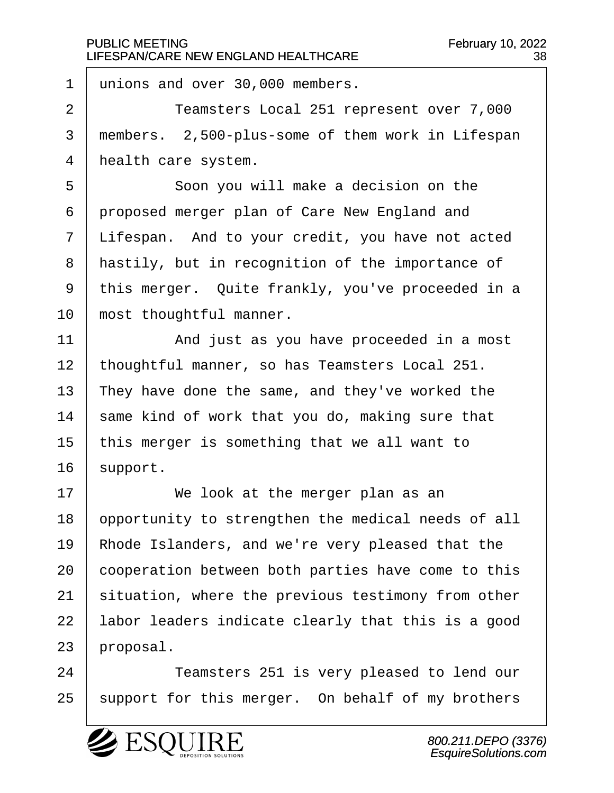1 unions and over 30,000 members.

2 | Teamsters Local 251 represent over 7,000 3 | members. 2,500-plus-some of them work in Lifespan 4 | health care system.

5 | Soon you will make a decision on the  $6$  proposed merger plan of Care New England and  $7$   $\vert$  Lifespan. And to your credit, you have not acted 8 | hastily, but in recognition of the importance of 9 | this merger. Quite frankly, you've proceeded in a 10 most thoughtful manner.

11· · · · · · And just as you have proceeded in a most 12 | thoughtful manner, so has Teamsters Local 251. 13 They have done the same, and they've worked the  $14$  same kind of work that you do, making sure that  $15$  | this merger is something that we all want to  $16$  support.

17 | **We look at the merger plan as an** 18 opportunity to strengthen the medical needs of all 19 | Rhode Islanders, and we're very pleased that the 20 cooperation between both parties have come to this  $21$  situation, where the previous testimony from other 22 | labor leaders indicate clearly that this is a good  $23$  | proposal.

24 | Teamsters 251 is very pleased to lend our 25 | support for this merger. On behalf of my brothers

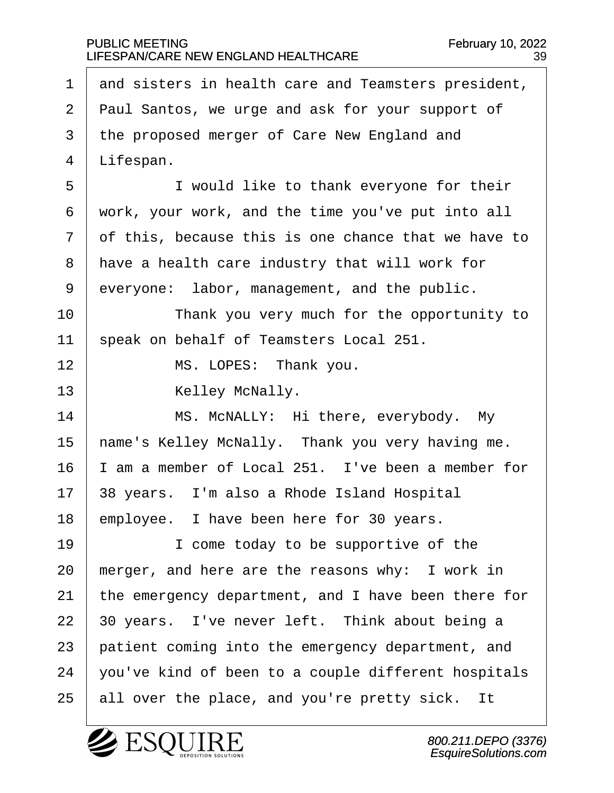1  $\vert$  and sisters in health care and Teamsters president, 2 | Paul Santos, we urge and ask for your support of 3 the proposed merger of Care New England and  $4$  | Lifespan. 5 | I would like to thank everyone for their  $6$  work, your work, and the time you've put into all  $7·$  of this, because this is one chance that we have to 8 | have a health care industry that will work for  $9$  everyone: labor, management, and the public. 10 | Thank you very much for the opportunity to 11 | speak on behalf of Teamsters Local 251. 12 | MS. LOPES: Thank you. 13 | Kelley McNally. 14 | MS. McNALLY: Hi there, everybody. My 15 | name's Kelley McNally. Thank you very having me.  $16$  | I am a member of Local 251. I've been a member for  $17$  | 38 years. I'm also a Rhode Island Hospital  $18$  | employee. I have been here for 30 years. 19 | I come today to be supportive of the  $20$  | merger, and here are the reasons why: I work in 21  $\vert$  the emergency department, and I have been there for  $22$  | 30 years. I've never left. Think about being a  $23$  | patient coming into the emergency department, and  $24$   $\mid$  you've kind of been to a couple different hospitals  $25$  all over the place, and you're pretty sick. It

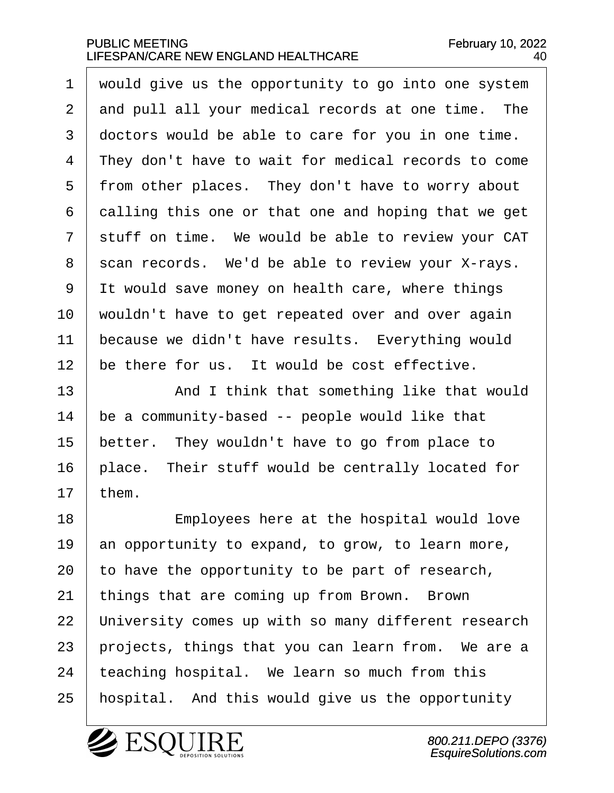would give us the opportunity to go into one system 2 and pull all your medical records at one time. The 3 doctors would be able to care for you in one time. 4 They don't have to wait for medical records to come 5 | from other places. They don't have to worry about  $\vert$  calling this one or that one and hoping that we get stuff on time. We would be able to review your CAT scan records. We'd be able to review your X-rays. It would save money on health care, where things | wouldn't have to get repeated over and over again because we didn't have results. Everything would  $\vert$  be there for us. It would be cost effective.

13 | And I think that something like that would  $14$  be a community-based  $-$  people would like that  $15$  better. They wouldn't have to go from place to  $16$  | place. Their stuff would be centrally located for  $17$  them.

18 | Employees here at the hospital would love  $\vert$  an opportunity to expand, to grow, to learn more,  $\vert$  to have the opportunity to be part of research, things that are coming up from Brown. Brown 22 | University comes up with so many different research | projects, things that you can learn from. We are a | teaching hospital. We learn so much from this 25 | hospital. And this would give us the opportunity



800.211.DEPO (3376) EsquireSolutions.com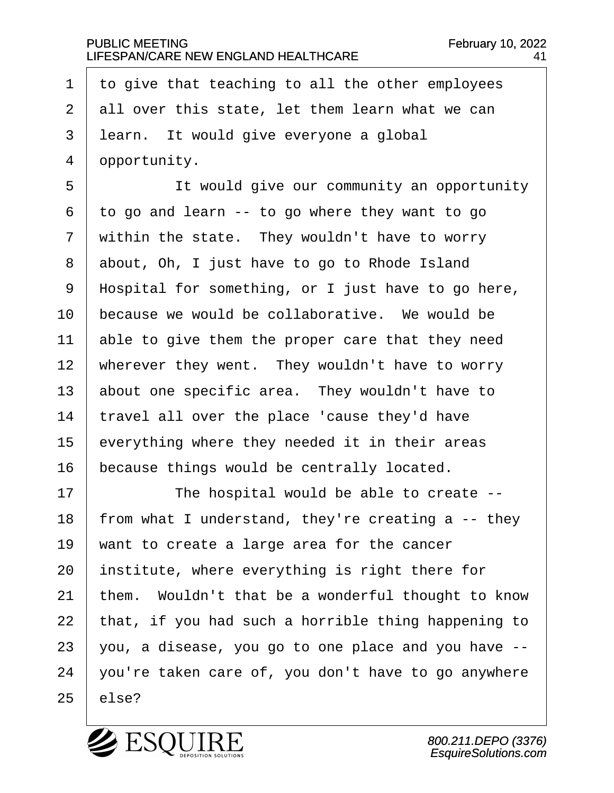$\pm$  to give that teaching to all the other employees all over this state, let them learn what we can 3 | learn. It would give everyone a global 4 ppportunity.

5 | The would give our community an opportunity to go and learn -- to go where they want to go within the state. They wouldn't have to worry 8 about, Oh, I just have to go to Rhode Island | Hospital for something, or I just have to go here, because we would be collaborative. We would be  $\vert$  able to give them the proper care that they need wherever they went. They wouldn't have to worry about one specific area. They wouldn't have to | travel all over the place 'cause they'd have everything where they needed it in their areas because things would be centrally located.

17 | The hospital would be able to create --18 | from what I understand, they're creating a  $-$ - they  $\parallel$  want to create a large area for the cancer | institute, where everything is right there for  $\vert$  them. Wouldn't that be a wonderful thought to know | that, if you had such a horrible thing happening to | you, a disease, you go to one place and you have  $-$  | you're taken care of, you don't have to go anywhere | else?

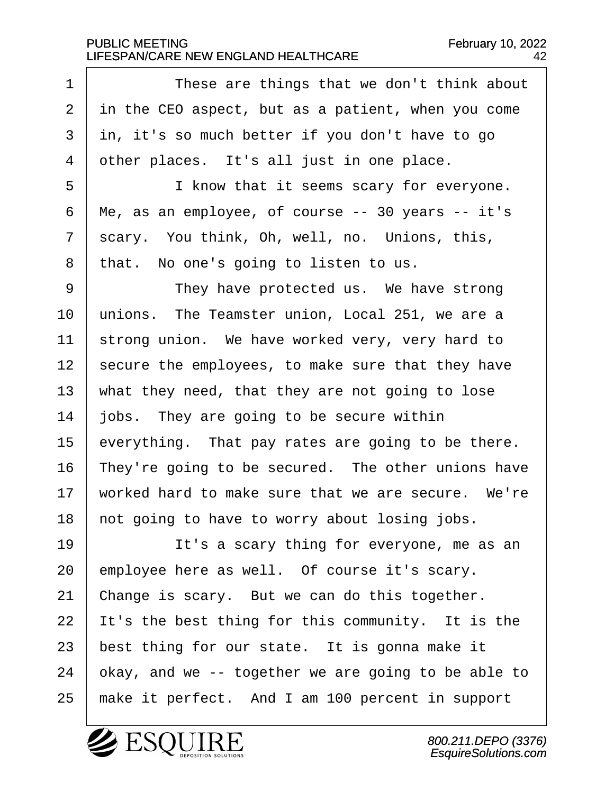1 These are things that we don't think about in the CEO aspect, but as a patient, when you come in, it's so much better if you don't have to go other places. It's all just in one place.

5 | I know that it seems scary for everyone.  $6 \mid$  Me, as an employee, of course -- 30 years -- it's  $7$  scary. You think, Oh, well, no. Unions, this, 8 | that. No one's going to listen to us.

9 | They have protected us. We have strong 10 | unions. The Teamster union, Local 251, we are a 11 | strong union. We have worked very, very hard to secure the employees, to make sure that they have  $\parallel$  what they need, that they are not going to lose  $\vert$  jobs. They are going to be secure within everything. That pay rates are going to be there. | They're going to be secured. The other unions have  $\parallel$  worked hard to make sure that we are secure. We're | not going to have to worry about losing jobs.

19 | It's a scary thing for everyone, me as an employee here as well. Of course it's scary.  $\vert$  Change is scary. But we can do this together. | It's the best thing for this community. It is the best thing for our state. It is gonna make it  $\vert$  okay, and we -- together we are going to be able to  $\mid$  make it perfect. And I am 100 percent in support

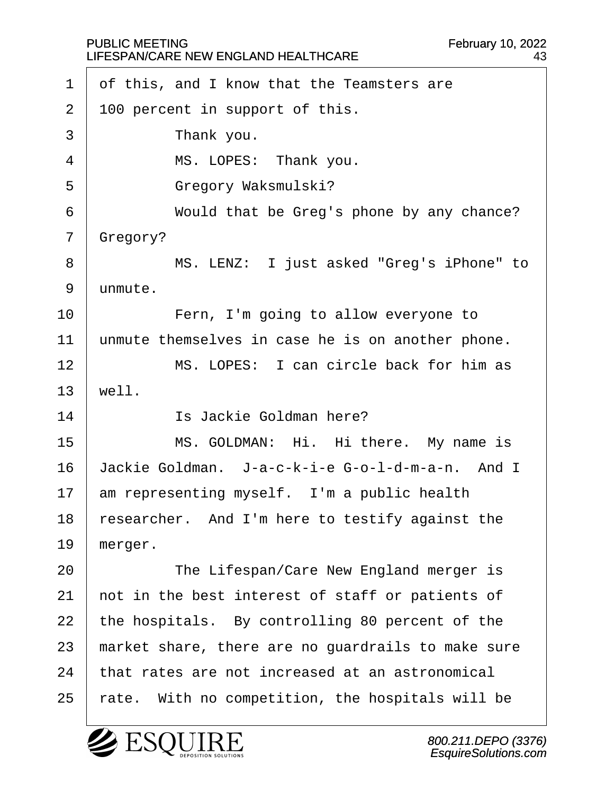$\Gamma$ 

| $\mathbf 1$ | of this, and I know that the Teamsters are         |
|-------------|----------------------------------------------------|
| 2           | 100 percent in support of this.                    |
| 3           | Thank you.                                         |
| 4           | MS. LOPES: Thank you.                              |
| 5           | Gregory Waksmulski?                                |
| 6           | Would that be Greg's phone by any chance?          |
| 7           | Gregory?                                           |
| 8           | MS. LENZ: I just asked "Greg's iPhone" to          |
| 9           | unmute.                                            |
| 10          | Fern, I'm going to allow everyone to               |
| 11          | unmute themselves in case he is on another phone.  |
| 12          | MS. LOPES: I can circle back for him as            |
| 13          | well.                                              |
| 14          | Is Jackie Goldman here?                            |
| 15          | MS. GOLDMAN: Hi. Hi there. My name is              |
| 16          | Jackie Goldman. J-a-c-k-i-e G-o-l-d-m-a-n. And I   |
| 17          | am representing myself. I'm a public health        |
| 18          | researcher. And I'm here to testify against the    |
| 19          | merger.                                            |
| 20          | The Lifespan/Care New England merger is            |
| 21          | not in the best interest of staff or patients of   |
| 22          | the hospitals. By controlling 80 percent of the    |
| 23          | market share, there are no guardrails to make sure |
| 24          | that rates are not increased at an astronomical    |
| 25          | rate. With no competition, the hospitals will be   |

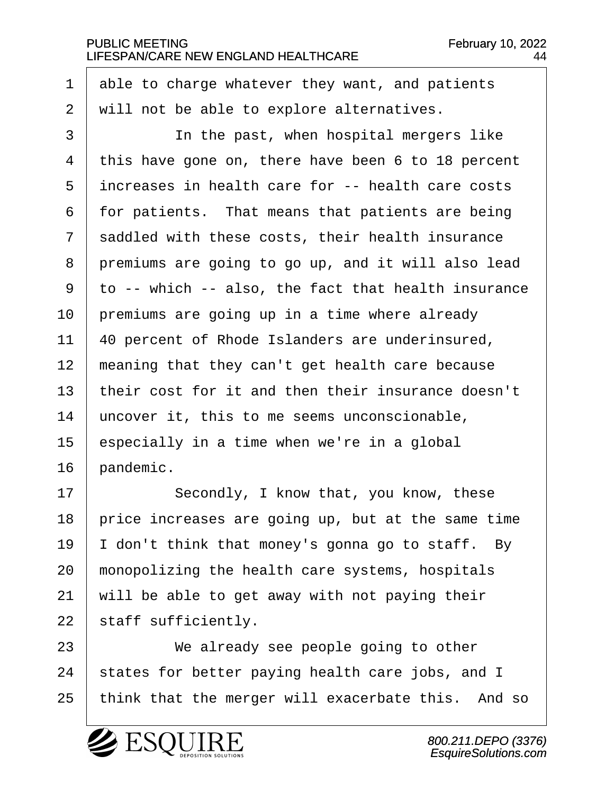able to charge whatever they want, and patients  $\mid$  will not be able to explore alternatives.

3 | The past, when hospital mergers like this have gone on, there have been 6 to 18 percent | increases in health care for -- health care costs | for patients. That means that patients are being  $\vert$  saddled with these costs, their health insurance 8 premiums are going to go up, and it will also lead to -- which -- also, the fact that health insurance | premiums are going up in a time where already | 40 percent of Rhode Islanders are underinsured, | meaning that they can't get health care because | their cost for it and then their insurance doesn't uncover it, this to me seems unconscionable, especially in a time when we're in a global | pandemic.

17 | Secondly, I know that, you know, these | price increases are going up, but at the same time  $\vert$  I don't think that money's gonna go to staff. By  $\mid$  monopolizing the health care systems, hospitals will be able to get away with not paying their staff sufficiently.

23 | We already see people going to other | states for better paying health care jobs, and I 25 | think that the merger will exacerbate this. And so

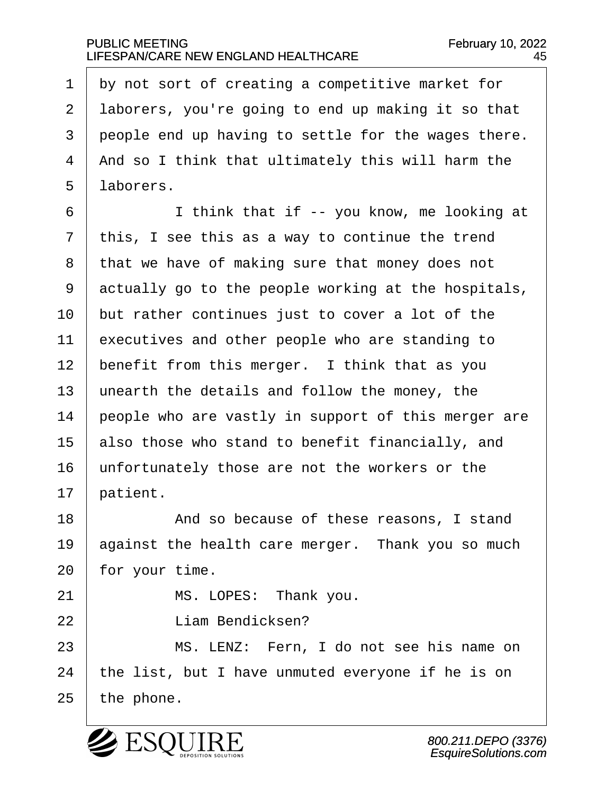$1$  by not sort of creating a competitive market for 2 | laborers, you're going to end up making it so that 3 people end up having to settle for the wages there. 4 | And so I think that ultimately this will harm the 5 | laborers.

 |  $\qquad$  I think that if -- you know, me looking at this, I see this as a way to continue the trend  $\vert$  that we have of making sure that money does not actually go to the people working at the hospitals, but rather continues just to cover a lot of the  $\vert$  executives and other people who are standing to | benefit from this merger. I think that as you  $\parallel$  unearth the details and follow the money, the people who are vastly in support of this merger are also those who stand to benefit financially, and 16 | unfortunately those are not the workers or the  $17$  patient.

18 a compared and so because of these reasons, I stand 19  $\vert$  against the health care merger. Thank you so much  $20$  for your time.

21 | MS. LOPES: Thank you.

22 **Constanting Communication** Figure Bendicksen?

23· · · · · · MS. LENZ:· Fern, I do not see his name on  $24$  | the list, but I have unmuted everyone if he is on  $25$  | the phone.



800.211.DEPO (3376) EsquireSolutions.com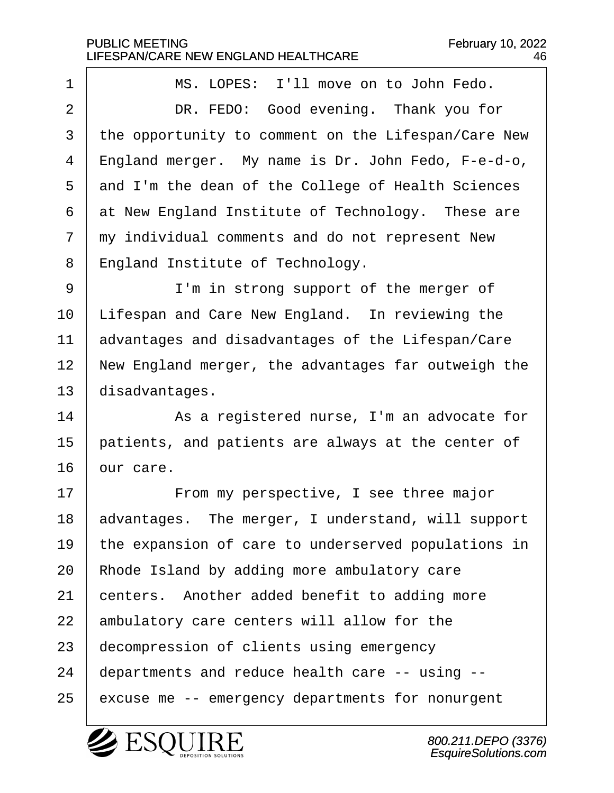1 | MS. LOPES: I'll move on to John Fedo. 2 DR. FEDO: Good evening. Thank you for 3 | the opportunity to comment on the Lifespan/Care New 4 | England merger. My name is Dr. John Fedo, F-e-d-o, 5 and I'm the dean of the College of Health Sciences  $6$  at New England Institute of Technology. These are  $7$   $\mid$  my individual comments and do not represent New 8 England Institute of Technology. 9 | I'm in strong support of the merger of 10 | Lifespan and Care New England. In reviewing the  $11$  advantages and disadvantages of the Lifespan/Care 12 | New England merger, the advantages far outweigh the  $13$  disadvantages. 14 as a registered nurse, I'm an advocate for  $15$  | patients, and patients are always at the center of  $16$  our care. 17 | From my perspective, I see three major 18 advantages. The merger, I understand, will support 19 | the expansion of care to underserved populations in  $20$  | Rhode Island by adding more ambulatory care  $21$  centers. Another added benefit to adding more  $22$  ambulatory care centers will allow for the 23 ecompression of clients using emergency  $24$  | departments and reduce health care  $-$ - using  $-$ -25 excuse me -- emergency departments for nonurgent

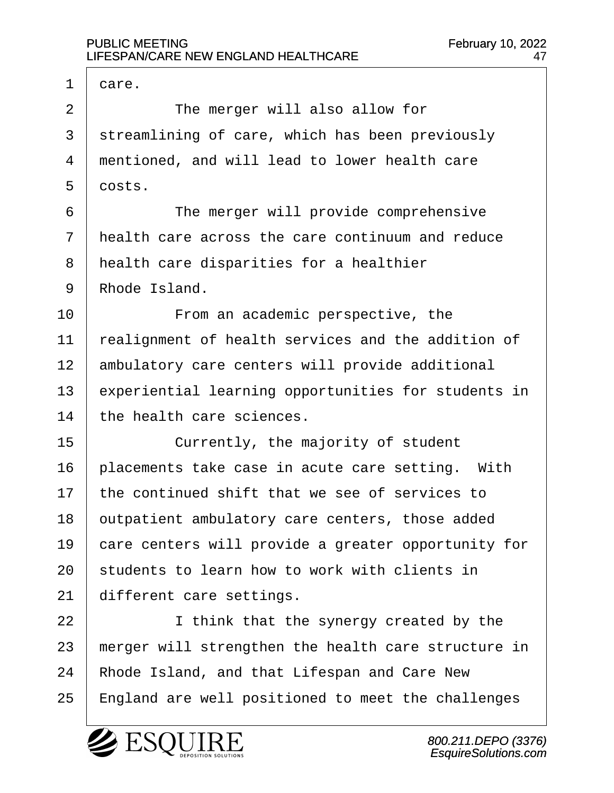$1$  care. 2 | The merger will also allow for 3 | streamlining of care, which has been previously 4 mentioned, and will lead to lower health care  $5 \mid \text{costs.}$ 6 **I** The merger will provide comprehensive  $7$   $\vert$  health care across the care continuum and reduce 8 | health care disparities for a healthier 9 Rhode Island. 10 Trom an academic perspective, the 11 | realignment of health services and the addition of 12 | ambulatory care centers will provide additional  $13$  experiential learning opportunities for students in  $14$  the health care sciences. 15 currently, the majority of student  $16$  | placements take case in acute care setting. With  $17$   $\vert$  the continued shift that we see of services to 18 | outpatient ambulatory care centers, those added 19 care centers will provide a greater opportunity for  $20$  students to learn how to work with clients in  $21$  different care settings. 22 | I think that the synergy created by the  $23$  | merger will strengthen the health care structure in 24 | Rhode Island, and that Lifespan and Care New 25 | England are well positioned to meet the challenges

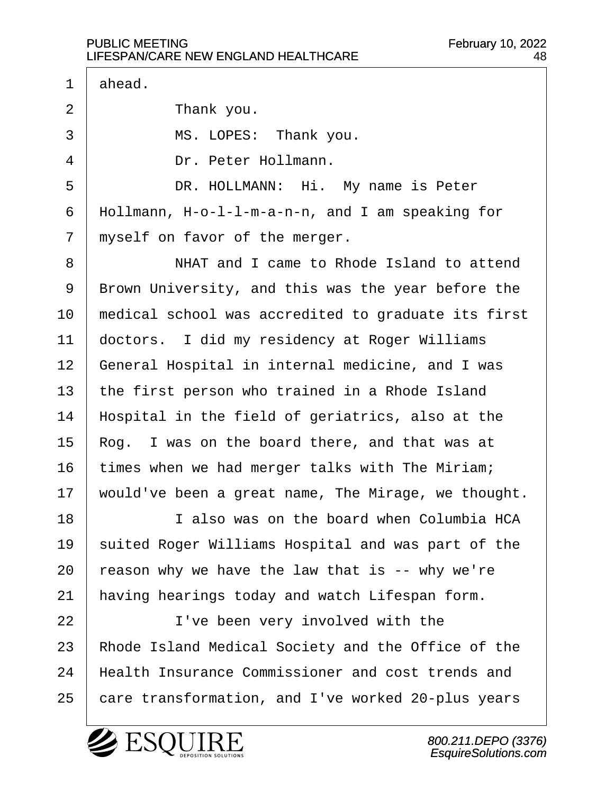$1 \mid$  ahead. 2 Thank you. 3 | MS. LOPES: Thank you. 4 Dr. Peter Hollmann. 5 | DR. HOLLMANN: Hi. My name is Peter  $6$  | Hollmann, H-o-l-l-m-a-n-n, and I am speaking for  $7$   $\mid$  myself on favor of the merger. 8 WHAT and I came to Rhode Island to attend 9 | Brown University, and this was the year before the 10 | medical school was accredited to graduate its first 11 | doctors. I did my residency at Roger Williams 12 | General Hospital in internal medicine, and I was 13  $\vert$  the first person who trained in a Rhode Island  $14$  | Hospital in the field of geriatrics, also at the  $15$  Rog. I was on the board there, and that was at  $16$  times when we had merger talks with The Miriam; 17 | would've been a great name, The Mirage, we thought. 18· · · · · · I also was on the board when Columbia HCA 19 | suited Roger Williams Hospital and was part of the 20  $\vert$  reason why we have the law that is -- why we're  $21$  | having hearings today and watch Lifespan form. 22 | I've been very involved with the 23 | Rhode Island Medical Society and the Office of the 24 | Health Insurance Commissioner and cost trends and 25 | care transformation, and I've worked 20-plus years

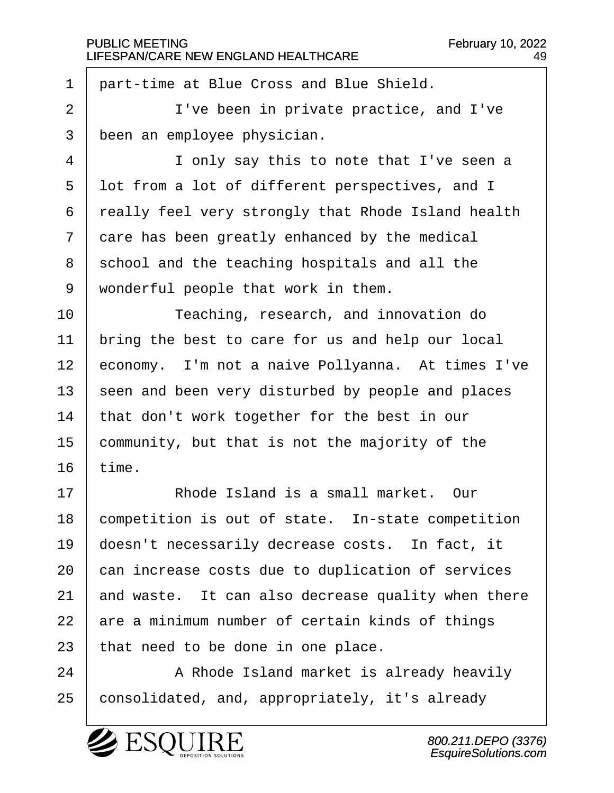$1$   $\vert$  part-time at Blue Cross and Blue Shield.

2 | I've been in private practice, and I've 3 been an employee physician.

4 I only say this to note that I've seen a 5 I lot from a lot of different perspectives, and I  $6$  | really feel very strongly that Rhode Island health  $7$   $\vert$  care has been greatly enhanced by the medical 8 school and the teaching hospitals and all the  $9$  wonderful people that work in them.

10 Teaching, research, and innovation do  $11$   $\vert$  bring the best to care for us and help our local 12 | economy. I'm not a naive Pollyanna. At times I've 13 seen and been very disturbed by people and places 14 | that don't work together for the best in our  $15$  community, but that is not the majority of the  $16$  time.

17· · · · · · Rhode Island is a small market.· Our competition is out of state. In-state competition  $\vert$  doesn't necessarily decrease costs. In fact, it 20 can increase costs due to duplication of services  $\vert$  and waste. It can also decrease quality when there are a minimum number of certain kinds of things | that need to be done in one place.

24 | A Rhode Island market is already heavily 25 | consolidated, and, appropriately, it's already

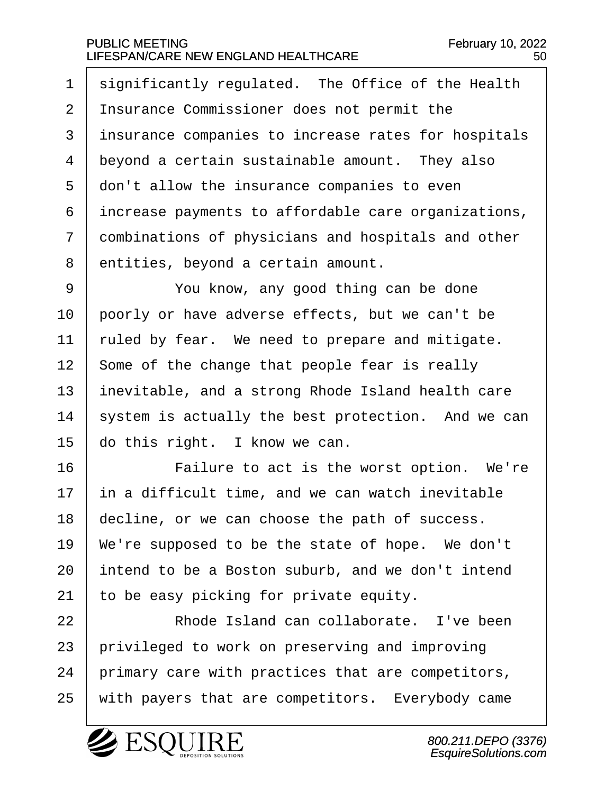$1$  significantly regulated. The Office of the Health 2 | Insurance Commissioner does not permit the 3 | insurance companies to increase rates for hospitals  $4$  beyond a certain sustainable amount. They also 5 adon't allow the insurance companies to even  $6$  increase payments to affordable care organizations, 7 combinations of physicians and hospitals and other 8 entities, beyond a certain amount.

9 | · · · You know, any good thing can be done poorly or have adverse effects, but we can't be  $\mid$  ruled by fear. We need to prepare and mitigate. | Some of the change that people fear is really inevitable, and a strong Rhode Island health care system is actually the best protection. And we can  $\vert$  do this right. I know we can.

16 | Tailure to act is the worst option. We're in a difficult time, and we can watch inevitable decline, or we can choose the path of success. | We're supposed to be the state of hope. We don't intend to be a Boston suburb, and we don't intend  $\vert$  to be easy picking for private equity.

22 encode Island can collaborate. I've been 23 | privileged to work on preserving and improving  $24$  | primary care with practices that are competitors, 25 | with payers that are competitors. Everybody came

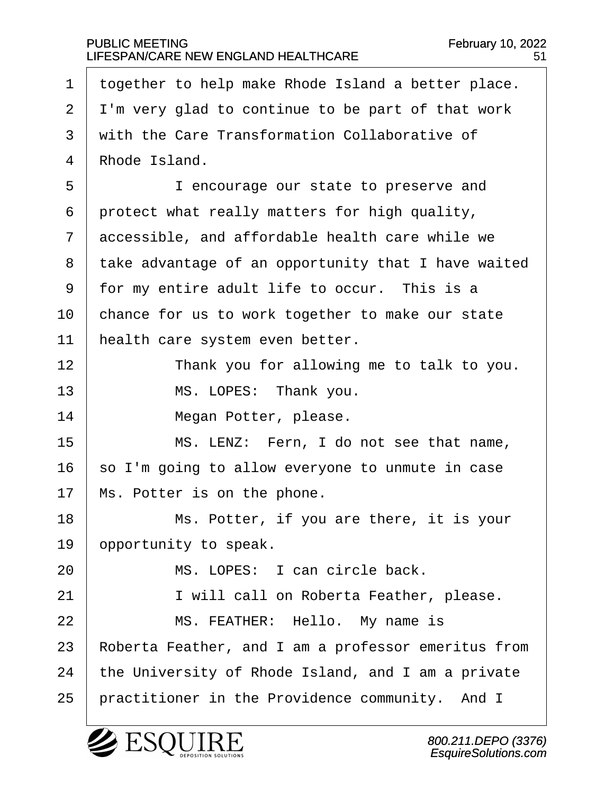$1$  together to help make Rhode Island a better place.  $2 \mid I$ 'm very glad to continue to be part of that work  $3 \mid$  with the Care Transformation Collaborative of 4 Rhode Island. 5 | I encourage our state to preserve and  $6$  protect what really matters for high quality,  $7<sup>1</sup>$  accessible, and affordable health care while we 8 | take advantage of an opportunity that I have waited  $9$   $\mid$  for my entire adult life to occur. This is a  $10$   $\vert$  chance for us to work together to make our state 11 | health care system even better. 12 | Thank you for allowing me to talk to you. 13 | MS. LOPES: Thank you. 14 | **Megan Potter, please.** 15 | MS. LENZ: Fern, I do not see that name,  $16$  so I'm going to allow everyone to unmute in case  $17$  | Ms. Potter is on the phone. 18 | Ms. Potter, if you are there, it is your 19 | opportunity to speak. 20 · · · · · · MS. LOPES: I can circle back. 21 | I will call on Roberta Feather, please. 22 | MS. FEATHER: Hello. My name is 23 | Roberta Feather, and I am a professor emeritus from  $24$  | the University of Rhode Island, and I am a private  $25$  | practitioner in the Providence community. And I



800.211.DEPO (3376) EsquireSolutions.com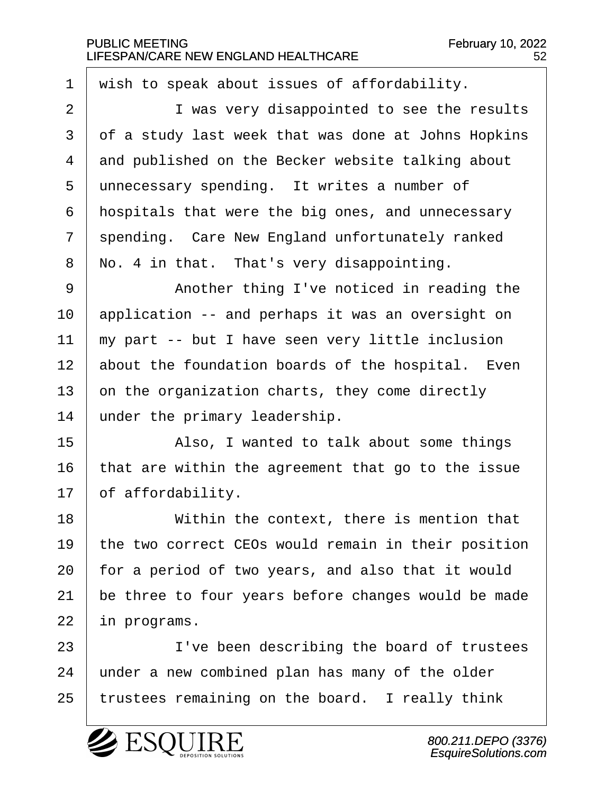$1$  wish to speak about issues of affordability.

2 | Twas very disappointed to see the results  $3 \mid$  of a study last week that was done at Johns Hopkins  $4$  and published on the Becker website talking about 5 unnecessary spending. It writes a number of  $6$  | hospitals that were the big ones, and unnecessary  $7$  spending. Care New England unfortunately ranked  $8$  | No. 4 in that. That's very disappointing.

9 | Another thing I've noticed in reading the application -- and perhaps it was an oversight on  $\mid$  my part -- but I have seen very little inclusion 12 about the foundation boards of the hospital. Even on the organization charts, they come directly under the primary leadership.

15 | Also, I wanted to talk about some things 16  $\vert$  that are within the agreement that go to the issue  $17$   $\vert$  of affordability.

18· · · · · · Within the context, there is mention that  $\vert$  the two correct CEOs would remain in their position | for a period of two years, and also that it would be three to four years before changes would be made in programs.

23 | I've been describing the board of trustees  $24$   $\mid$  under a new combined plan has many of the older  $25$  | trustees remaining on the board. I really think

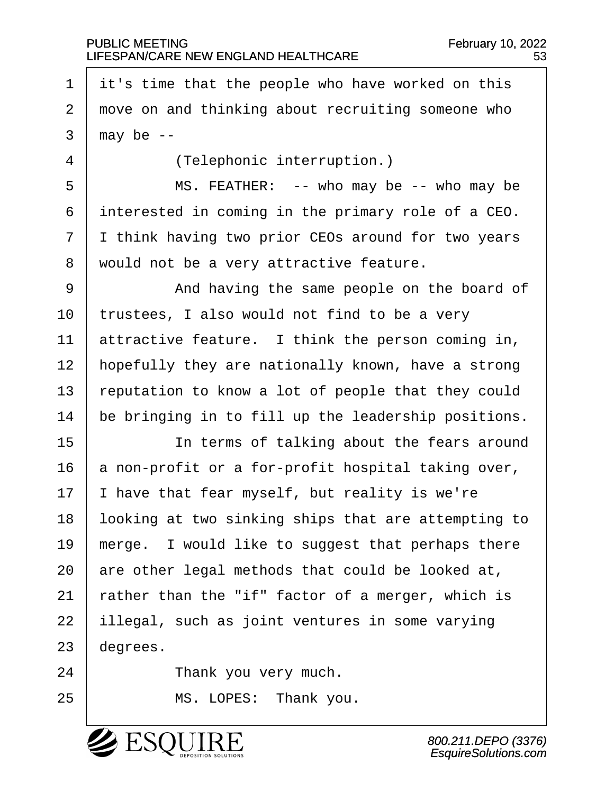$1$  it's time that the people who have worked on this 2 | move on and thinking about recruiting someone who  $3 \mid$  may be  $-$ 4 | (Telephonic interruption.) 5 | MS. FEATHER: -- who may be -- who may be  $6$  interested in coming in the primary role of a CEO. 7 I I think having two prior CEOs around for two years 8 | would not be a very attractive feature. 9 | The Same people on the board of  $10$  | trustees, I also would not find to be a very 11 | attractive feature. I think the person coming in, 12 | hopefully they are nationally known, have a strong 13  $\vert$  reputation to know a lot of people that they could  $14$  be bringing in to fill up the leadership positions. 15 | The terms of talking about the fears around  $16$  a non-profit or a for-profit hospital taking over,  $17$  | I have that fear myself, but reality is we're

18 | looking at two sinking ships that are attempting to 19  $\parallel$  merge. I would like to suggest that perhaps there 20  $\vert$  are other legal methods that could be looked at, 21  $\vert$  rather than the "if" factor of a merger, which is 22 | illegal, such as joint ventures in some varying  $23$  degrees.

24 Thank you very much.

25 | MS. LOPES: Thank you.

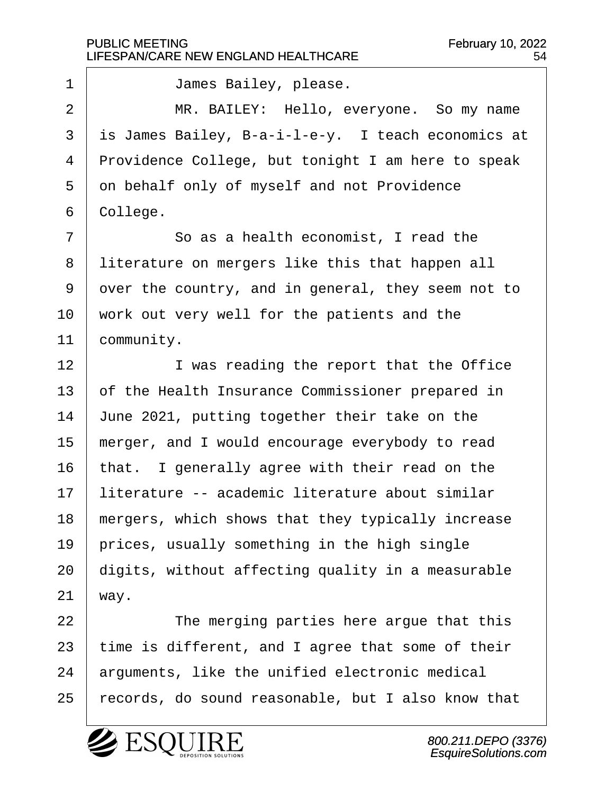1 | James Bailey, please. 2 | MR. BAILEY: Hello, everyone. So my name  $3$  is James Bailey, B-a-i-l-e-y. I teach economics at 4 Providence College, but tonight I am here to speak 5 on behalf only of myself and not Providence  $6$  | College.  $7$   $\vert$  30 as a health economist, I read the 8 | literature on mergers like this that happen all 9 over the country, and in general, they seem not to  $10$  | work out very well for the patients and the 11 | community. 12 | I was reading the report that the Office  $13$  of the Health Insurance Commissioner prepared in 14  $\vert$  June 2021, putting together their take on the  $15$  | merger, and I would encourage everybody to read  $16$  | that. I generally agree with their read on the 17 | literature -- academic literature about similar  $18$  | mergers, which shows that they typically increase  $19$  | prices, usually something in the high single  $20$  digits, without affecting quality in a measurable  $21$  way. 22 | The merging parties here arque that this  $23$  | time is different, and I agree that some of their  $24$  arguments, like the unified electronic medical 25 | records, do sound reasonable, but I also know that

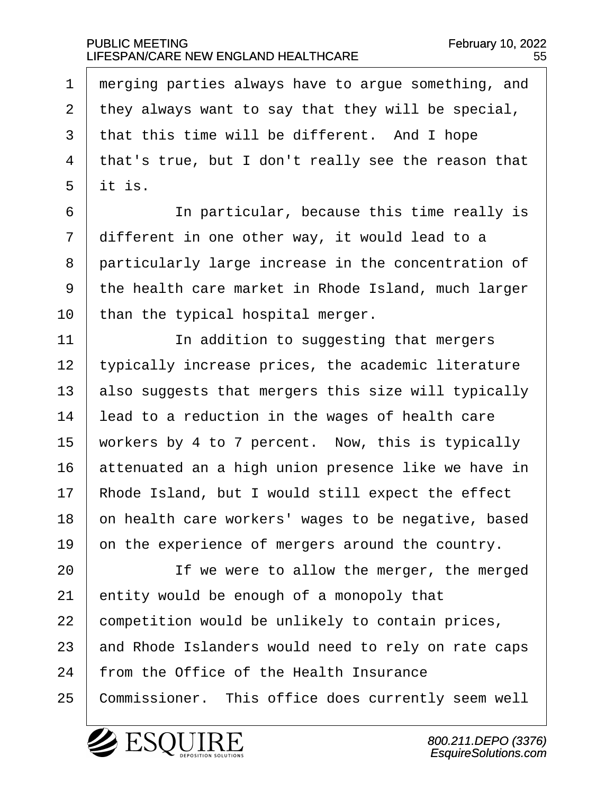$\mid$  merging parties always have to argue something, and | they always want to say that they will be special,  $\vert$  that this time will be different. And I hope | that's true, but I don't really see the reason that  $5$  it is.

6 | The particular, because this time really is  $7$  different in one other way, it would lead to a 8 particularly large increase in the concentration of  $9$   $\mid$  the health care market in Rhode Island, much larger  $10$  | than the typical hospital merger.

11· · · · · · In addition to suggesting that mergers 12 | typically increase prices, the academic literature 13  $\vert$  also suggests that mergers this size will typically  $14$  | lead to a reduction in the wages of health care 15 | workers by 4 to 7 percent. Now, this is typically  $16$  attenuated an a high union presence like we have in  $17$  | Rhode Island, but I would still expect the effect 18 on health care workers' wages to be negative, based 19  $\vert$  on the experience of mergers around the country.

20 | The were to allow the merger, the merged  $21$  entity would be enough of a monopoly that  $22$  competition would be unlikely to contain prices, 23 and Rhode Islanders would need to rely on rate caps 24 | from the Office of the Health Insurance 25 | Commissioner. This office does currently seem well

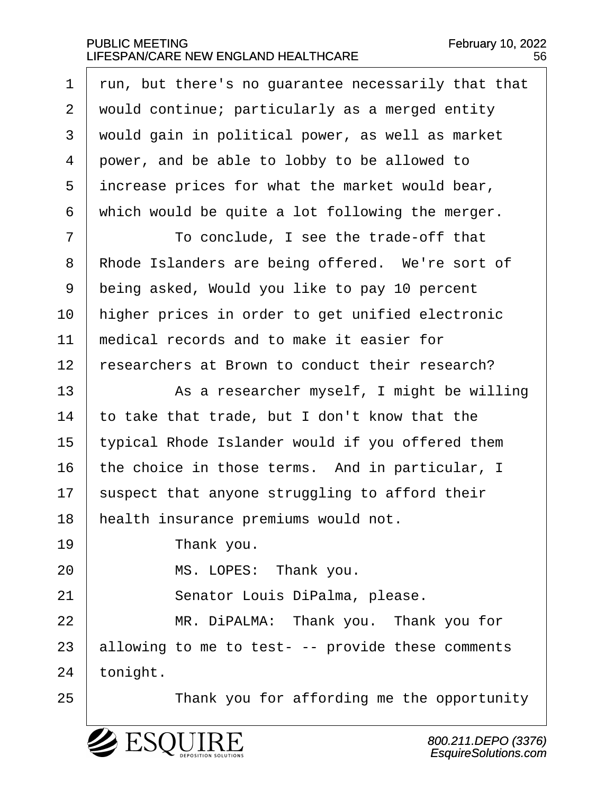$\vert$  run, but there's no quarantee necessarily that that 2 | would continue; particularly as a merged entity would gain in political power, as well as market 4 power, and be able to lobby to be allowed to increase prices for what the market would bear, which would be quite a lot following the merger.

·7· · · · · · To conclude, I see the trade-off that 8 | Rhode Islanders are being offered. We're sort of 9 being asked, Would you like to pay 10 percent 10 | higher prices in order to get unified electronic  $11$   $\parallel$  medical records and to make it easier for  $12$   $\mid$  researchers at Brown to conduct their research?

13 | As a researcher myself, I might be willing  $\vert$  to take that trade, but I don't know that the typical Rhode Islander would if you offered them the choice in those terms. And in particular, I suspect that anyone struggling to afford their 18 | health insurance premiums would not.

19 **I** Thank you.

20 MS. LOPES: Thank you.

21 | Senator Louis DiPalma, please.

22 WIR. DiPALMA: Thank you. Thank you for  $23$  allowing to me to test- -- provide these comments  $24$  | tonight.

25 | Thank you for affording me the opportunity

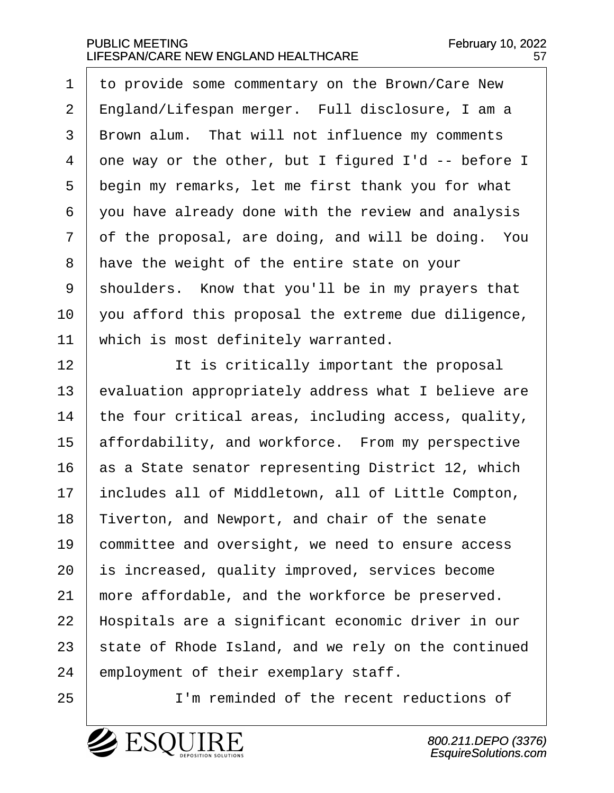1 to provide some commentary on the Brown/Care New 2 | England/Lifespan merger. Full disclosure, I am a 3 | Brown alum. That will not influence my comments 4 one way or the other, but I figured I'd  $-$  before I  $5$  begin my remarks, let me first thank you for what  $6$   $\vert$  you have already done with the review and analysis  $7 \mid$  of the proposal, are doing, and will be doing. You  $8$  | have the weight of the entire state on your  $9$  shoulders. Know that you'll be in my prayers that  $10$   $\vert$  you afford this proposal the extreme due diligence,  $11$   $\parallel$  which is most definitely warranted.

12 | It is critically important the proposal evaluation appropriately address what I believe are  $\vert$  the four critical areas, including access, quality, 15 affordability, and workforce. From my perspective as a State senator representing District 12, which 17 | includes all of Middletown, all of Little Compton, 18 Tiverton, and Newport, and chair of the senate committee and oversight, we need to ensure access is increased, quality improved, services become  $\parallel$  more affordable, and the workforce be preserved. 22 | Hospitals are a significant economic driver in our state of Rhode Island, and we rely on the continued | employment of their exemplary staff.

25 | I'm reminded of the recent reductions of

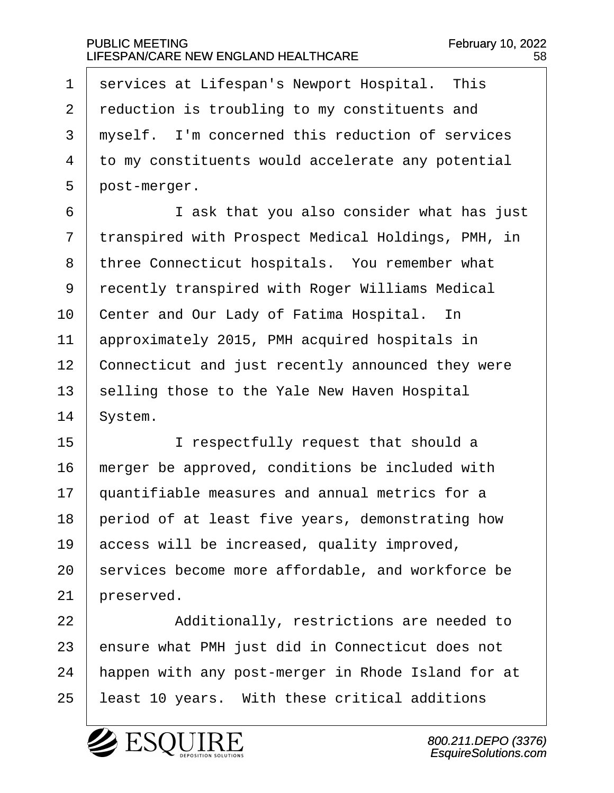1 | services at Lifespan's Newport Hospital. This 2 reduction is troubling to my constituents and 3 myself. I'm concerned this reduction of services 4 to my constituents would accelerate any potential  $5$  | post-merger.

6 **I i** ask that you also consider what has just 7 transpired with Prospect Medical Holdings, PMH, in 8 | three Connecticut hospitals. You remember what 9 recently transpired with Roger Williams Medical 10 | Center and Our Lady of Fatima Hospital. In 11 | approximately 2015, PMH acquired hospitals in 12 Connecticut and just recently announced they were  $13$  selling those to the Yale New Haven Hospital  $14$  System.

15 | I respectfully request that should a | merger be approved, conditions be included with  $\mid$  quantifiable measures and annual metrics for a | period of at least five years, demonstrating how  $\vert$  access will be increased, quality improved, services become more affordable, and workforce be preserved.

22 Additionally, restrictions are needed to  $23$  ensure what PMH just did in Connecticut does not 24 | happen with any post-merger in Rhode Island for at 25 | least 10 years. With these critical additions



800.211.DEPO (3376) EsquireSolutions.com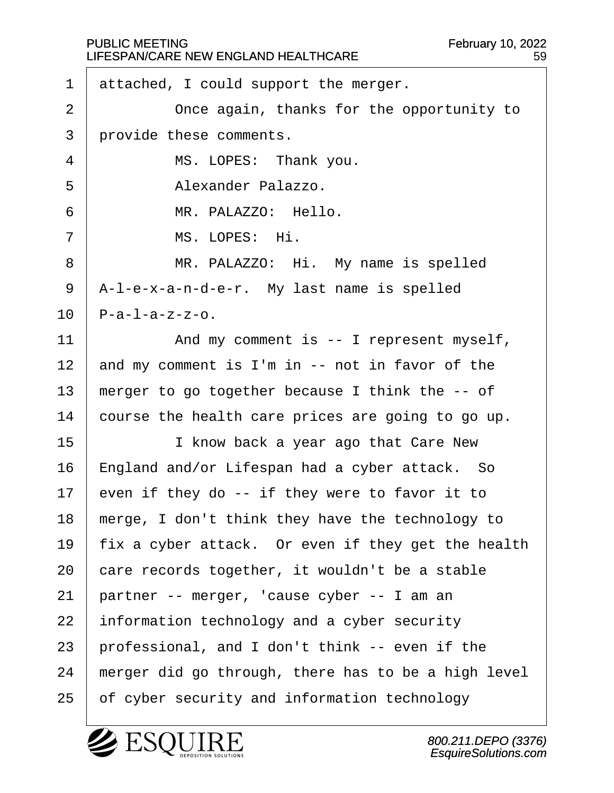|                | <b>PUBLIC MEETING</b><br>February 10, 2022<br>LIFESPAN/CARE NEW ENGLAND HEALTHCARE<br>59 |
|----------------|------------------------------------------------------------------------------------------|
| 1              | attached, I could support the merger.                                                    |
| $\overline{2}$ | Once again, thanks for the opportunity to                                                |
| 3              | provide these comments.                                                                  |
| 4              | MS. LOPES: Thank you.                                                                    |
| 5              | Alexander Palazzo.                                                                       |
| 6              | MR. PALAZZO: Hello.                                                                      |
| 7              | MS. LOPES: Hi.                                                                           |
| 8              | MR. PALAZZO: Hi. My name is spelled                                                      |
| 9              | A-l-e-x-a-n-d-e-r. My last name is spelled                                               |
| 10             | $P-a-1-a-z-z-o.$                                                                         |
| 11             | And my comment is $--$ I represent myself,                                               |
| 12             | and my comment is I'm in -- not in favor of the                                          |
| 13             | merger to go together because I think the -- of                                          |
| 14             | course the health care prices are going to go up.                                        |
| 15             | I know back a year ago that Care New                                                     |
| 16             | England and/or Lifespan had a cyber attack. So                                           |
| 17             | even if they do -- if they were to favor it to                                           |
| 18             | merge, I don't think they have the technology to                                         |
| 19             | fix a cyber attack. Or even if they get the health                                       |
| 20             | care records together, it wouldn't be a stable                                           |
| 21             | partner -- merger, 'cause cyber -- I am an                                               |
| 22             | information technology and a cyber security                                              |
| 23             | professional, and I don't think -- even if the                                           |
| 24             | merger did go through, there has to be a high level                                      |
| 25             | of cyber security and information technology                                             |

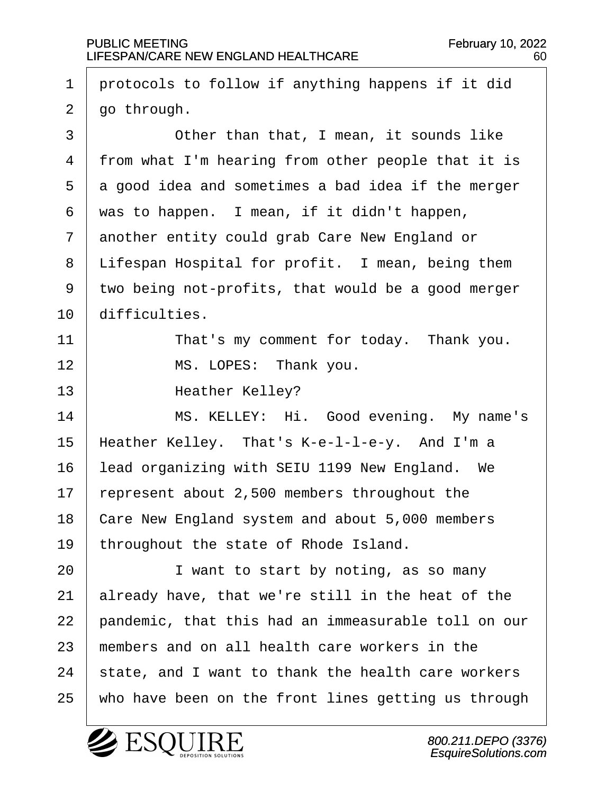$1$   $\vert$  protocols to follow if anything happens if it did  $2 \mid$  go through. 3 **Other than that, I mean, it sounds like** 4 | from what I'm hearing from other people that it is  $5 \mid a$  good idea and sometimes a bad idea if the merger  $6$  was to happen. I mean, if it didn't happen, 7 another entity could grab Care New England or  $8$  | Lifespan Hospital for profit. I mean, being them  $9$  two being not-profits, that would be a good merger 10 difficulties. 11 | That's my comment for today. Thank you. 12 | MS. LOPES: Thank you. 13 | **Heather Kelley?** 14 | MS. KELLEY: Hi. Good evening. My name's  $15$  | Heather Kelley. That's K-e-l-l-e-y. And I'm a 16 | lead organizing with SEIU 1199 New England. We 17  $\vert$  represent about 2,500 members throughout the 18 Care New England system and about 5,000 members 19 | throughout the state of Rhode Island. 20 **I** want to start by noting, as so many  $21$  already have, that we're still in the heat of the  $22$   $\vert$  pandemic, that this had an immeasurable toll on our  $23$   $\mid$  members and on all health care workers in the  $24$  | state, and I want to thank the health care workers 25 | who have been on the front lines getting us through

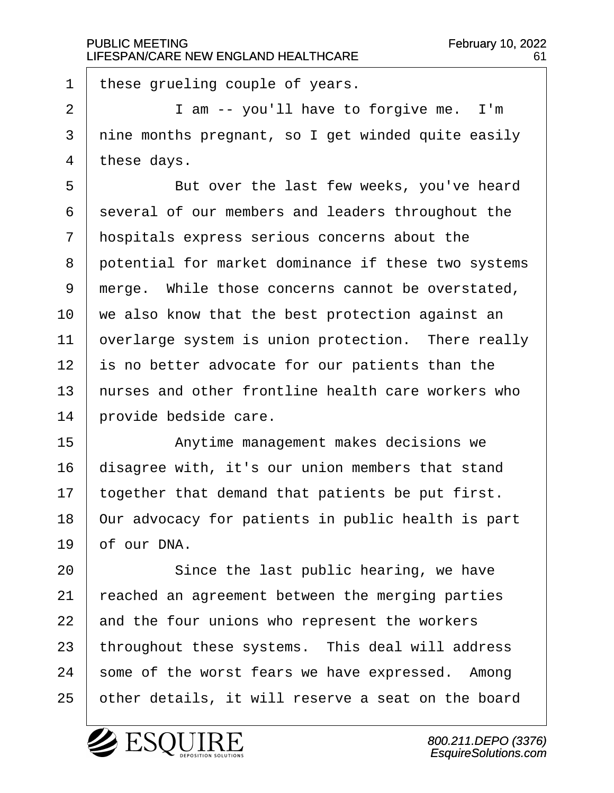these grueling couple of years.

 |  $\qquad$   $\qquad$  I am -- you'll have to forgive me. I'm I nine months pregnant, so I get winded quite easily | these days.

5 | But over the last few weeks, you've heard several of our members and leaders throughout the  $\vert$  hospitals express serious concerns about the 8 potential for market dominance if these two systems 9 merge. While those concerns cannot be overstated,  $\vert$  we also know that the best protection against an  $\vert$  overlarge system is union protection. There really is no better advocate for our patients than the  $\vert$  nurses and other frontline health care workers who  $\mid$  provide bedside care.

15· · · · · · Anytime management makes decisions we disagree with, it's our union members that stand | together that demand that patients be put first.  $\vert$  Our advocacy for patients in public health is part  $19 \mid$  of our DNA.

20 Since the last public hearing, we have  $\vert$  reached an agreement between the merging parties and the four unions who represent the workers throughout these systems. This deal will address some of the worst fears we have expressed. Among 25 | other details, it will reserve a seat on the board

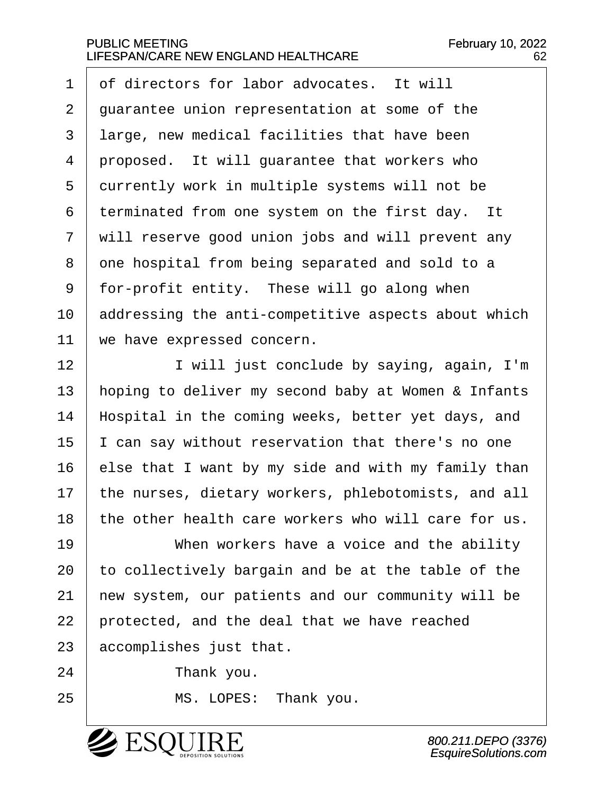$1 \mid$  of directors for labor advocates. It will  $\vert$  quarantee union representation at some of the 3 | large, new medical facilities that have been proposed. It will quarantee that workers who 5 currently work in multiple systems will not be terminated from one system on the first day. It  $\vert$  will reserve good union jobs and will prevent any 8 one hospital from being separated and sold to a | for-profit entity. These will go along when addressing the anti-competitive aspects about which  $\vert$  we have expressed concern.

12 | I will just conclude by saying, again, I'm 13 | hoping to deliver my second baby at Women & Infants 14 | Hospital in the coming weeks, better yet days, and  $15$  | I can say without reservation that there's no one  $16$  else that I want by my side and with my family than  $17$  | the nurses, dietary workers, phlebotomists, and all  $18$   $\mid$  the other health care workers who will care for us.

19 When workers have a voice and the ability  $\vert$  to collectively bargain and be at the table of the  $\vert$  new system, our patients and our community will be | protected, and the deal that we have reached accomplishes just that.

24 Thank you.

25 | MS. LOPES: Thank you.

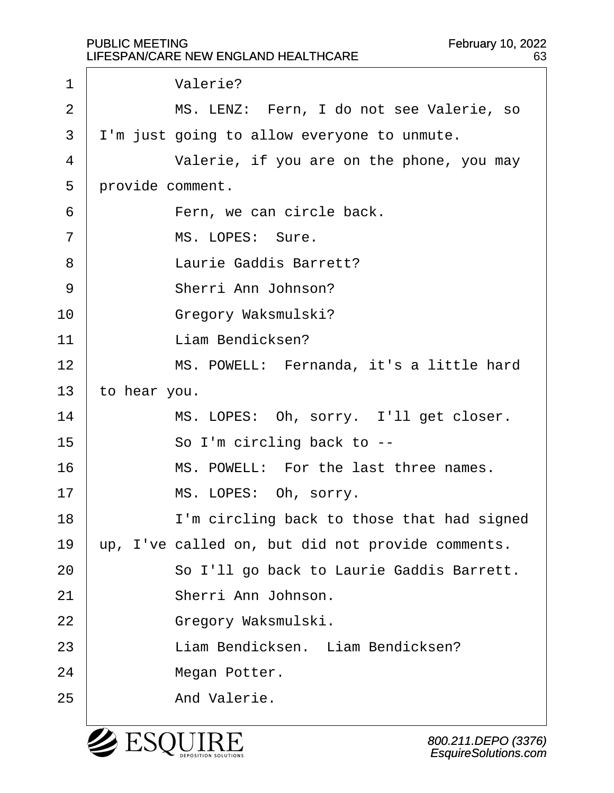1 | **Valerie?** 2 | MS. LENZ: Fern, I do not see Valerie, so  $3$   $\vert$  I'm just going to allow everyone to unmute. 4 Valerie, if you are on the phone, you may 5 provide comment. 6 **b** Fern, we can circle back. 7 | MS. LOPES: Sure. 8 baurie Gaddis Barrett? 9 | Sherri Ann Johnson? 10 | Gregory Waksmulski? 11 | **Industrian Bendicksen?** 12 | MS. POWELL: Fernanda, it's a little hard  $13$  to hear you. 14 | MS. LOPES: Oh, sorry. I'll get closer. 15 | So I'm circling back to --16· · · · · · MS. POWELL:· For the last three names. 17 | MS. LOPES: Oh, sorry. 18 | I'm circling back to those that had signed  $19$   $\mu$  up, I've called on, but did not provide comments. 20 | So I'll go back to Laurie Gaddis Barrett. 21 | Sherri Ann Johnson. 22 | Gregory Waksmulski. 23 · · · · · · Liam Bendicksen. · Liam Bendicksen? 24 | Megan Potter. 25 | **And Valerie.** 

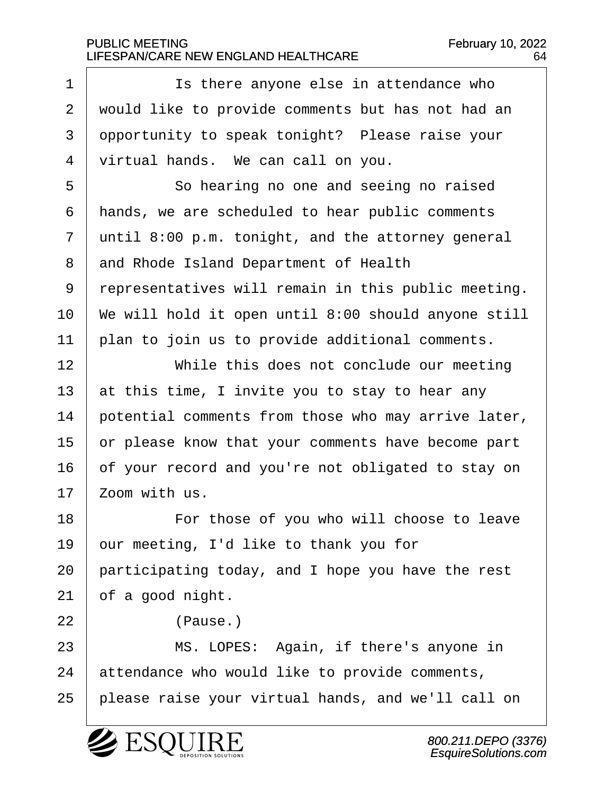1 **1 1** Is there anyone else in attendance who 2 | would like to provide comments but has not had an 3 opportunity to speak tonight? Please raise your  $4$   $\prime$  virtual hands. We can call on you. 5 | So hearing no one and seeing no raised  $6$  | hands, we are scheduled to hear public comments  $7$  until 8:00 p.m. tonight, and the attorney general 8 and Rhode Island Department of Health 9 representatives will remain in this public meeting.  $10$  | We will hold it open until 8:00 should anyone still  $11$   $\mid$  plan to join us to provide additional comments. 12· · · · · · While this does not conclude our meeting 13  $\vert$  at this time, I invite you to stay to hear any 14  $\vert$  potential comments from those who may arrive later,  $15$  or please know that your comments have become part 16 of your record and you're not obligated to stay on  $17$   $\mid$  Zoom with us. 18 | The resolution of you who will choose to leave 19  $\vert$  our meeting, I'd like to thank you for 20  $\vert$  participating today, and I hope you have the rest  $21$  of a good night.  $22$  |  $\sqrt{P}$   $\sqrt{P}$   $\sqrt{P}$   $\sqrt{P}$   $\sqrt{P}$ 23 | MS. LOPES: Again, if there's anyone in  $24$  attendance who would like to provide comments, 25 | please raise your virtual hands, and we'll call on



800.211.DEPO (3376) EsquireSolutions.com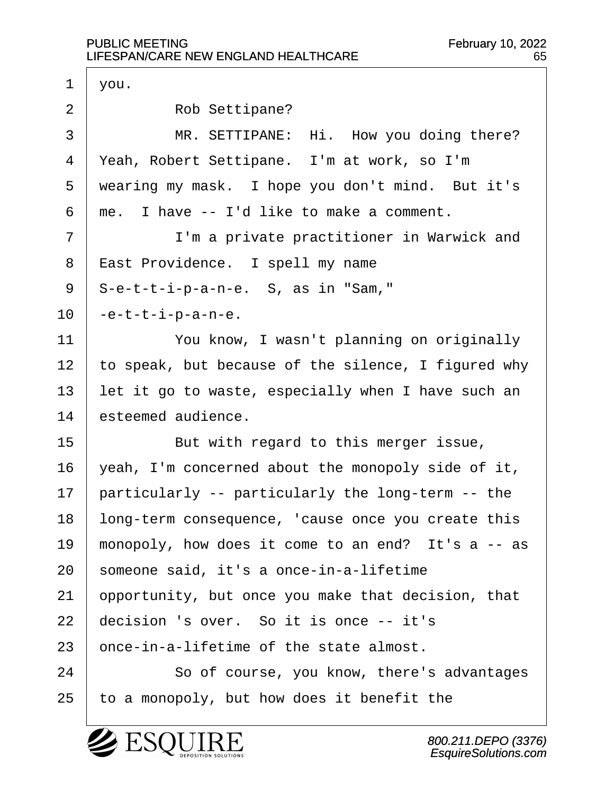$1 \mid \text{you.}$ 2 Rob Settipane? 3 | MR. SETTIPANE: Hi. How you doing there? 4 | Yeah, Robert Settipane. I'm at work, so I'm 5 | wearing my mask. I hope you don't mind. But it's  $6 \mid me.$  I have  $-$  I'd like to make a comment. 7 | T'm a private practitioner in Warwick and 8 | East Providence. I spell my name  $9 \mid S$ -e-t-t-i-p-a-n-e. S, as in "Sam,"  $10$  |  $-$ e $-$ t $-$ t $-$ i $-p$  $-$ a $-$ n $-$ e. 11 | You know, I wasn't planning on originally  $12$  to speak, but because of the silence, I figured why 13  $\vert$  let it go to waste, especially when I have such an 14 esteemed audience. 15 | But with regard to this merger issue,  $16$  | yeah, I'm concerned about the monopoly side of it,  $17$  | particularly -- particularly the long-term -- the 18 | long-term consequence, 'cause once you create this 19 | monopoly, how does it come to an end? It's a  $-$  as  $20$  someone said, it's a once-in-a-lifetime  $21$  opportunity, but once you make that decision, that  $22$  decision 's over. So it is once  $-$  it's  $23$  once-in-a-lifetime of the state almost. 24 | So of course, you know, there's advantages  $25$  | to a monopoly, but how does it benefit the

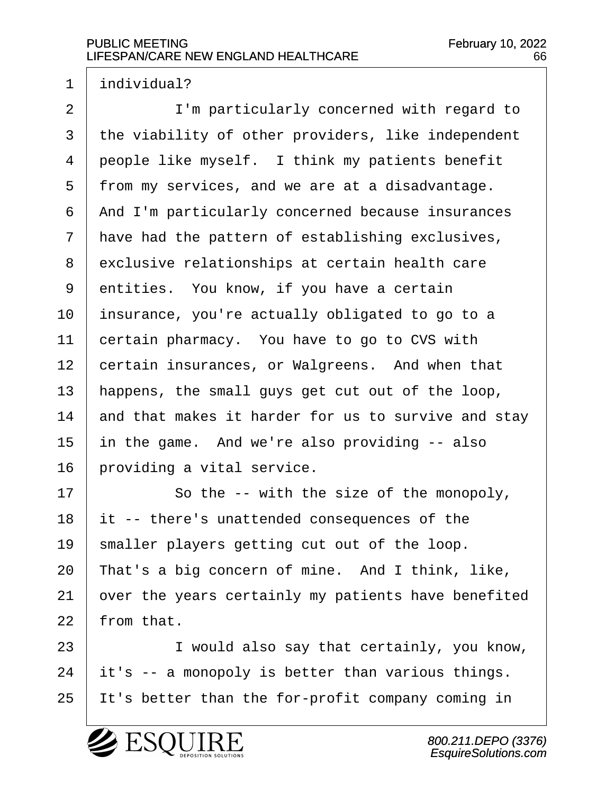$1$  individual?

2 | I'm particularly concerned with regard to  $3$  the viability of other providers, like independent  $4$  people like myself. I think my patients benefit  $5$  | from my services, and we are at a disadvantage. 6 | And I'm particularly concerned because insurances  $7$  have had the pattern of establishing exclusives, 8 exclusive relationships at certain health care  $9$  entities. You know, if you have a certain  $10$  | insurance, you're actually obligated to go to a 11 certain pharmacy. You have to go to CVS with 12 certain insurances, or Walgreens. And when that 13 | happens, the small guys get cut out of the loop, 14  $\parallel$  and that makes it harder for us to survive and stay  $15$  in the game. And we're also providing  $-$  also  $16$  | providing a vital service.

17 | So the -- with the size of the monopoly, it -- there's unattended consequences of the | smaller players getting cut out of the loop. | That's a big concern of mine. And I think, like,  $\vert$  over the years certainly my patients have benefited  $22 \mid$  from that.

23 | I would also say that certainly, you know,  $24$  it's  $-$  a monopoly is better than various things. 25 | It's better than the for-profit company coming in

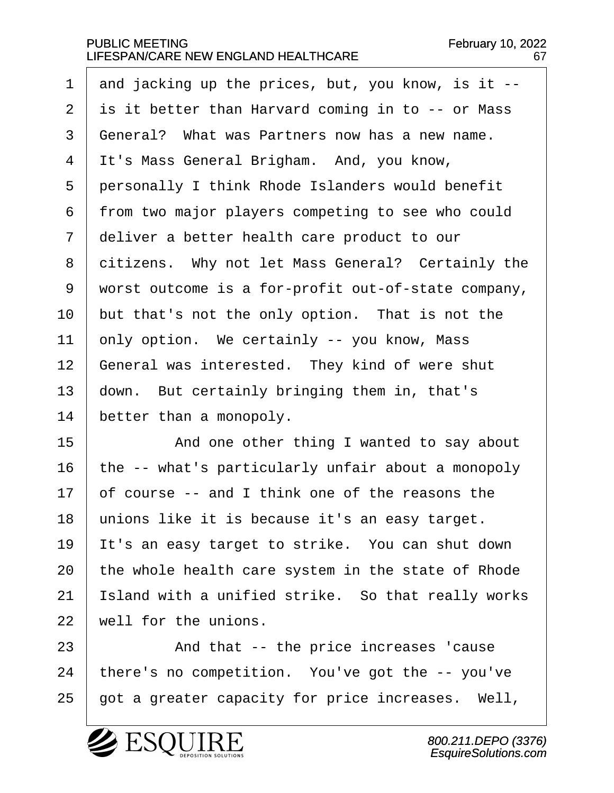1 and jacking up the prices, but, you know, is it  $-$ - $2$  is it better than Harvard coming in to  $-$ - or Mass  $3 \mid$  General? What was Partners now has a new name.  $4$  It's Mass General Brigham. And, you know,  $5$  | personally I think Rhode Islanders would benefit 6 from two major players competing to see who could  $7$   $\vert$  deliver a better health care product to our 8 citizens. Why not let Mass General? Certainly the  $9$  worst outcome is a for-profit out-of-state company,  $10$  | but that's not the only option. That is not the 11 | only option. We certainly -- you know, Mass 12 | General was interested. They kind of were shut  $13$  down. But certainly bringing them in, that's  $14$  better than a monopoly.

15 and one other thing I wanted to say about 16 | the  $-$ - what's particularly unfair about a monopoly  $17$   $\vert$  of course -- and I think one of the reasons the 18 | unions like it is because it's an easy target. 19 It's an easy target to strike. You can shut down  $20$  the whole health care system in the state of Rhode 21 | Island with a unified strike. So that really works  $22$   $\mid$  well for the unions.

23 | And that -- the price increases 'cause  $24$  | there's no competition. You've got the  $-$ - you've  $25$  | got a greater capacity for price increases. Well,

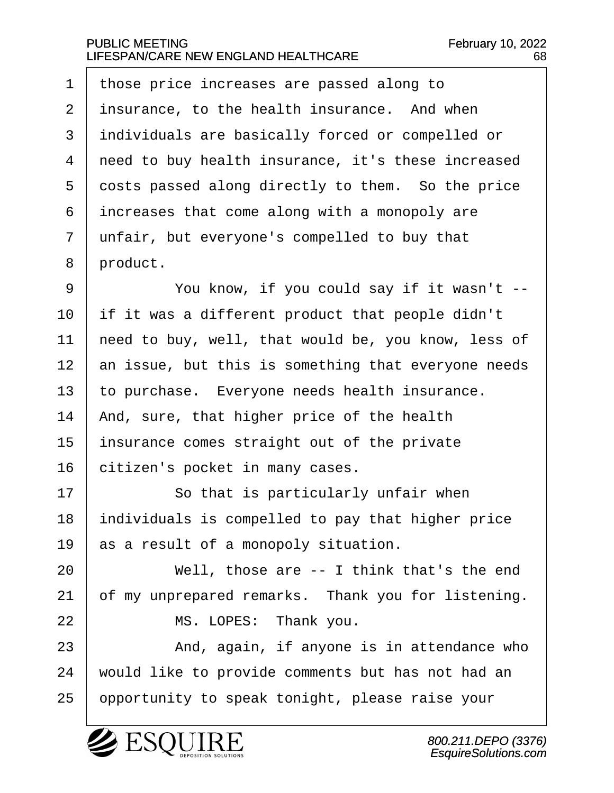$\pm$  those price increases are passed along to insurance, to the health insurance. And when 3 | individuals are basically forced or compelled or  $\mid$  need to buy health insurance, it's these increased 5 costs passed along directly to them. So the price increases that come along with a monopoly are unfair, but everyone's compelled to buy that 8 product.

9 | You know, if you could say if it wasn't -- | if it was a different product that people didn't  $\vert$  need to buy, well, that would be, you know, less of an issue, but this is something that everyone needs to purchase. Everyone needs health insurance.  $\vert$  And, sure, that higher price of the health insurance comes straight out of the private 16 citizen's pocket in many cases.

17 | So that is particularly unfair when  $18$  | individuals is compelled to pay that higher price  $19$  as a result of a monopoly situation.

 $20$   $|$  Well, those are  $-$  I think that's the end  $21$  of my unprepared remarks. Thank you for listening.

22 MS. LOPES: Thank you.

23 | And, again, if anyone is in attendance who 24 vould like to provide comments but has not had an 25 | opportunity to speak tonight, please raise your

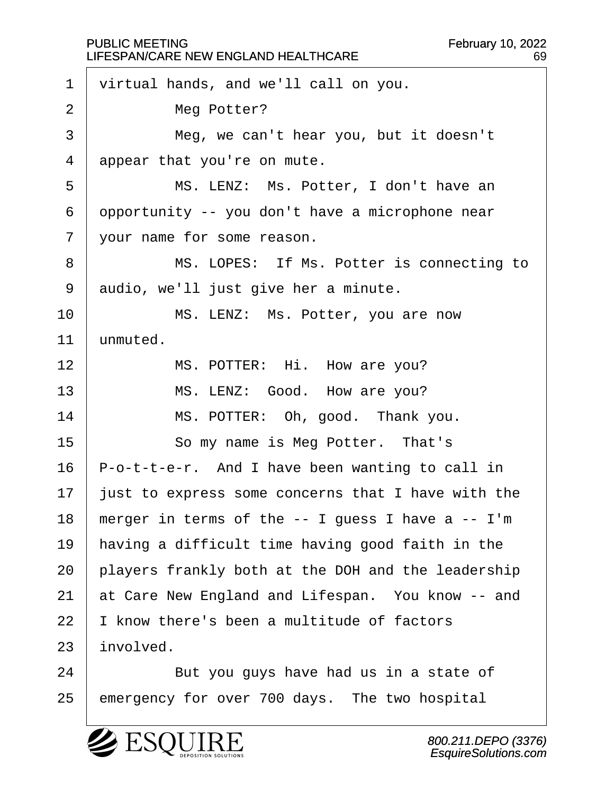|                | <b>PUBLIC MEETING</b><br><b>February 10, 2022</b><br>LIFESPAN/CARE NEW ENGLAND HEALTHCARE<br>69 |
|----------------|-------------------------------------------------------------------------------------------------|
| $\mathbf 1$    | virtual hands, and we'll call on you.                                                           |
| $\overline{2}$ | Meg Potter?                                                                                     |
| 3              | Meg, we can't hear you, but it doesn't                                                          |
| 4              | appear that you're on mute.                                                                     |
| 5              | MS. LENZ: Ms. Potter, I don't have an                                                           |
| 6              | opportunity -- you don't have a microphone near                                                 |
| 7              | your name for some reason.                                                                      |
| 8              | MS. LOPES: If Ms. Potter is connecting to                                                       |
| 9              | audio, we'll just give her a minute.                                                            |
| 10             | MS. LENZ: Ms. Potter, you are now                                                               |
| 11             | unmuted.                                                                                        |
| 12             | MS. POTTER: Hi. How are you?                                                                    |
| 13             | MS. LENZ: Good. How are you?                                                                    |
| 14             | MS. POTTER: Oh, good. Thank you.                                                                |
| 15             | So my name is Meg Potter. That's                                                                |
| 16             | P-o-t-t-e-r. And I have been wanting to call in                                                 |
| 17             | just to express some concerns that I have with the                                              |
| 18             | merger in terms of the $-$ - I guess I have a $-$ - I'm                                         |
| 19             | having a difficult time having good faith in the                                                |
| 20             | players frankly both at the DOH and the leadership                                              |
| 21             | at Care New England and Lifespan. You know -- and                                               |
| 22             | I know there's been a multitude of factors                                                      |
| 23             | involved.                                                                                       |
| 24             | But you guys have had us in a state of                                                          |
| 25             | emergency for over 700 days. The two hospital                                                   |

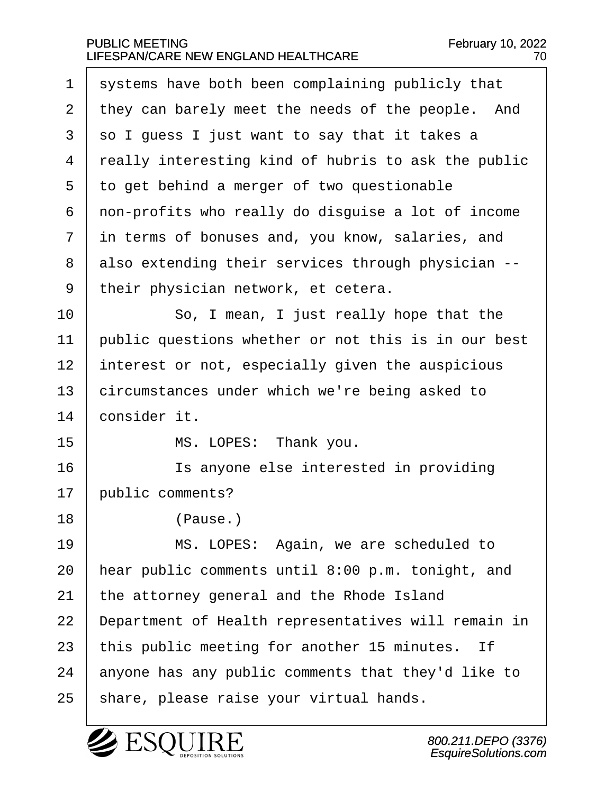$1$  systems have both been complaining publicly that 2 | they can barely meet the needs of the people. And  $3 \mid$  so I guess I just want to say that it takes a 4 really interesting kind of hubris to ask the public  $5$  to get behind a merger of two questionable  $6$  | non-profits who really do disquise a lot of income  $7$  in terms of bonuses and, you know, salaries, and  $8$  also extending their services through physician  $-$ -9 | their physician network, et cetera. 10 | So, I mean, I just really hope that the  $11$  public questions whether or not this is in our best  $12$  interest or not, especially given the auspicious 13 circumstances under which we're being asked to 14 consider it. 15 | MS. LOPES: Thank you. 16· · · · · · Is anyone else interested in providing 17 | public comments? 18 | (Pause.) 19 | MS. LOPES: Again, we are scheduled to 20  $\vert$  hear public comments until 8:00 p.m. tonight, and  $21$  the attorney general and the Rhode Island 22 | Department of Health representatives will remain in 23  $\vert$  this public meeting for another 15 minutes. If  $24$  anyone has any public comments that they'd like to 25 | share, please raise your virtual hands.

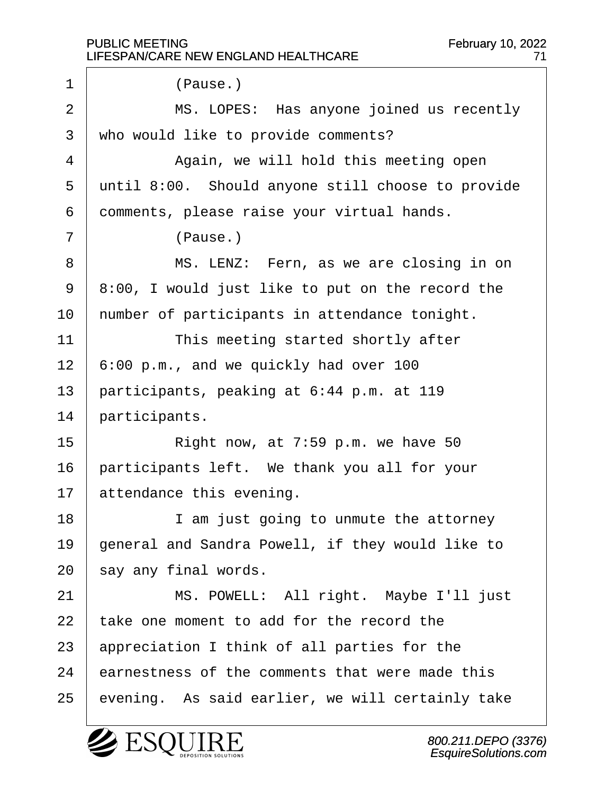1 | (Pause.) 2 | MS. LOPES: Has anyone joined us recently 3 | who would like to provide comments? 4 a · · · · · · · Again, we will hold this meeting open 5 until 8:00. Should anyone still choose to provide  $6$  comments, please raise your virtual hands.  $7$  |  $( \text{Pause.})$ 8 | MS. LENZ: Fern, as we are closing in on  $9 \mid 8:00$ , I would just like to put on the record the  $10$  | number of participants in attendance tonight. 11 | This meeting started shortly after  $12\mid 6:00 \text{ p.m.}$ , and we quickly had over 100 13 | participants, peaking at  $6:44$  p.m. at 119 14 participants.  $15$   $\vert$  Right now, at 7:59 p.m. we have 50  $16$  | participants left. We thank you all for your  $17$  attendance this evening. 18 | I am just going to unmute the attorney 19 | general and Sandra Powell, if they would like to  $20$  say any final words. 21 | MS. POWELL: All right. Maybe I'll just  $22$   $\overline{ }$  take one moment to add for the record the  $23$  | appreciation I think of all parties for the  $24$  earnestness of the comments that were made this 25 | evening. As said earlier, we will certainly take

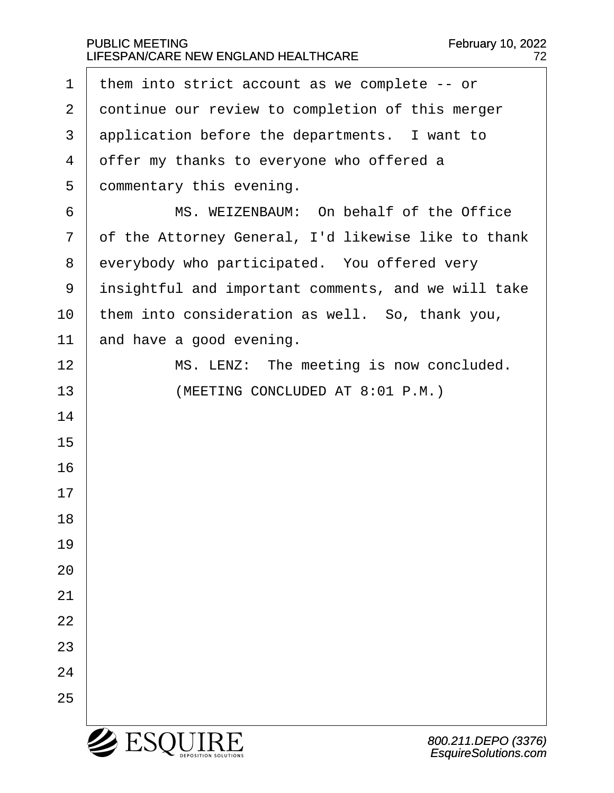| 1              | them into strict account as we complete $-$ - or    |
|----------------|-----------------------------------------------------|
| $\overline{2}$ | continue our review to completion of this merger    |
| 3              | application before the departments. I want to       |
| 4              | offer my thanks to everyone who offered a           |
| 5              | commentary this evening.                            |
| 6              | MS. WEIZENBAUM: On behalf of the Office             |
| 7              | of the Attorney General, I'd likewise like to thank |
| 8              | everybody who participated. You offered very        |
| 9              | insightful and important comments, and we will take |
| 10             | them into consideration as well. So, thank you,     |
| 11             | and have a good evening.                            |
| 12             | MS. LENZ: The meeting is now concluded.             |
| 13             | (MEETING CONCLUDED AT 8:01 P.M.)                    |
| 14             |                                                     |
| 15             |                                                     |
| 16             |                                                     |
| 17             |                                                     |
| 18             |                                                     |
| 19             |                                                     |
| 20             |                                                     |
| 21             |                                                     |
| 22             |                                                     |
| 23             |                                                     |
| 24             |                                                     |
| 25             |                                                     |
|                | $2$ ES<br>800.211.DEPO (337<br>EsquireSolutions.co. |